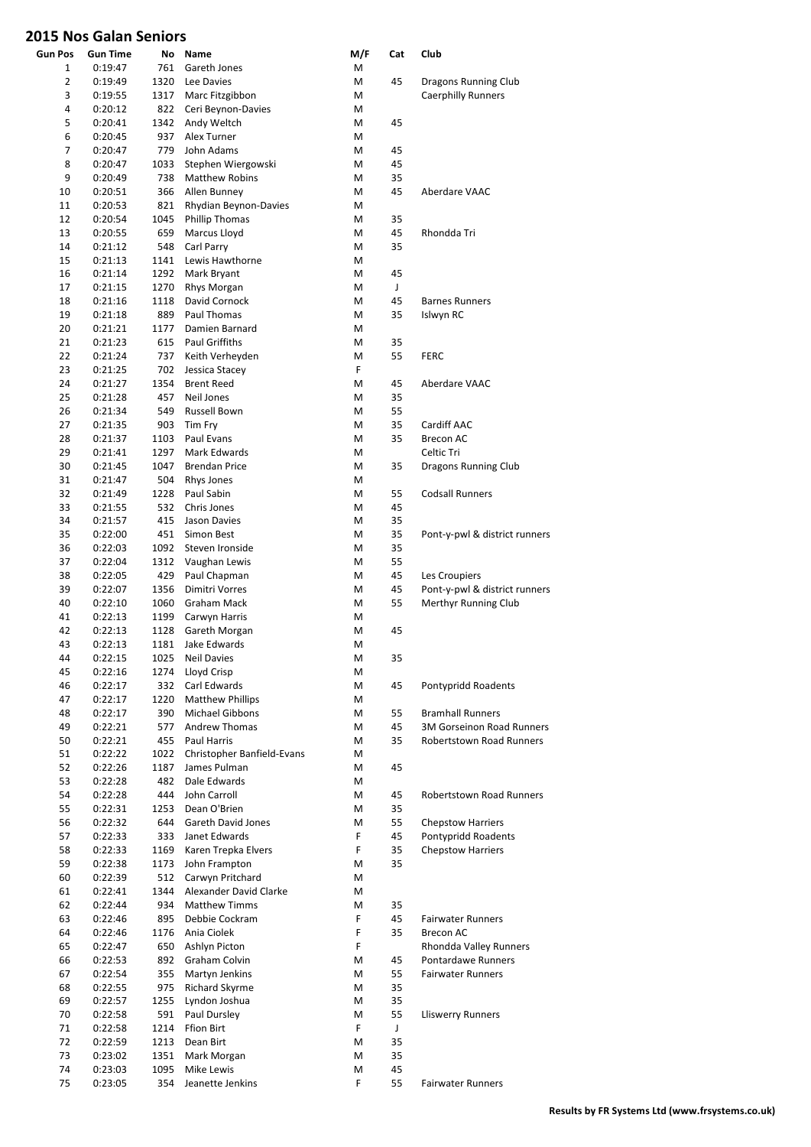| <b>Gun Pos</b> | Gun Time           | No           | Name                           | M/F     | Cat      | Club                                              |
|----------------|--------------------|--------------|--------------------------------|---------|----------|---------------------------------------------------|
| 1              | 0:19:47<br>0:19:49 | 761          | Gareth Jones                   | M       |          |                                                   |
| 2<br>3         | 0:19:55            | 1320<br>1317 | Lee Davies<br>Marc Fitzgibbon  | M<br>М  | 45       | Dragons Running Club<br><b>Caerphilly Runners</b> |
| 4              | 0:20:12            | 822          | Ceri Beynon-Davies             | М       |          |                                                   |
| 5              | 0:20:41            | 1342         | Andy Weltch                    | M       | 45       |                                                   |
| 6              | 0:20:45            | 937          | Alex Turner                    | М       |          |                                                   |
| 7              | 0:20:47            | 779          | John Adams                     | M       | 45       |                                                   |
| 8              | 0:20:47            | 1033         | Stephen Wiergowski             | M       | 45       |                                                   |
| 9              | 0:20:49            | 738          | <b>Matthew Robins</b>          | М       | 35       |                                                   |
| 10             | 0:20:51            | 366          | Allen Bunney                   | М       | 45       | Aberdare VAAC                                     |
| 11             | 0:20:53            | 821          | Rhydian Beynon-Davies          | М       |          |                                                   |
| 12             | 0:20:54            | 1045         | <b>Phillip Thomas</b>          | М       | 35       |                                                   |
| 13             | 0:20:55            | 659          | Marcus Lloyd                   | M       | 45       | Rhondda Tri                                       |
| 14             | 0:21:12            | 548          | Carl Parry                     | М       | 35       |                                                   |
| 15             | 0:21:13            | 1141         | Lewis Hawthorne                | М       |          |                                                   |
| 16             | 0:21:14            | 1292         | Mark Bryant                    | M       | 45       |                                                   |
| 17             | 0:21:15            | 1270         | Rhys Morgan                    | М       | J        |                                                   |
| 18             | 0:21:16            | 1118         | David Cornock                  | М       | 45       | <b>Barnes Runners</b>                             |
| 19             | 0:21:18            | 889          | Paul Thomas                    | M       | 35       | Islwyn RC                                         |
| 20             | 0:21:21            | 1177         | Damien Barnard                 | M       |          |                                                   |
| 21             | 0:21:23            | 615          | <b>Paul Griffiths</b>          | М       | 35       |                                                   |
| 22             | 0:21:24            | 737          | Keith Verheyden                | M<br>F. | 55       | <b>FERC</b>                                       |
| 23             | 0:21:25            | 702          | Jessica Stacey                 |         |          |                                                   |
| 24             | 0:21:27            | 1354         | <b>Brent Reed</b>              | M       | 45       | Aberdare VAAC                                     |
| 25<br>26       | 0:21:28<br>0:21:34 | 457<br>549   | Neil Jones                     | M<br>M  | 35<br>55 |                                                   |
| 27             | 0:21:35            | 903          | Russell Bown                   | M       | 35       | Cardiff AAC                                       |
| 28             | 0:21:37            | 1103         | Tim Fry<br>Paul Evans          | М       | 35       | <b>Brecon AC</b>                                  |
| 29             | 0:21:41            | 1297         | Mark Edwards                   | М       |          | Celtic Tri                                        |
| 30             | 0:21:45            | 1047         | <b>Brendan Price</b>           | М       | 35       | Dragons Running Club                              |
| 31             | 0:21:47            | 504          | Rhys Jones                     | М       |          |                                                   |
| 32             | 0:21:49            | 1228         | Paul Sabin                     | М       | 55       | <b>Codsall Runners</b>                            |
| 33             | 0:21:55            | 532          | Chris Jones                    | M       | 45       |                                                   |
| 34             | 0:21:57            | 415          | Jason Davies                   | М       | 35       |                                                   |
| 35             | 0:22:00            | 451          | Simon Best                     | М       | 35       | Pont-y-pwl & district runners                     |
| 36             | 0:22:03            | 1092         | Steven Ironside                | M       | 35       |                                                   |
| 37             | 0:22:04            | 1312         | Vaughan Lewis                  | М       | 55       |                                                   |
| 38             | 0:22:05            | 429          | Paul Chapman                   | М       | 45       | Les Croupiers                                     |
| 39             | 0:22:07            | 1356         | <b>Dimitri Vorres</b>          | M       | 45       | Pont-y-pwl & district runners                     |
| 40             | 0:22:10            | 1060         | <b>Graham Mack</b>             | М       | 55       | Merthyr Running Club                              |
| 41             | 0:22:13            | 1199         | Carwyn Harris                  | M       |          |                                                   |
| 42             | 0:22:13            | 1128         | Gareth Morgan                  | M       | 45       |                                                   |
| 43             | 0:22:13            | 1181         | Jake Edwards                   | М       |          |                                                   |
| 44             | 0:22:15            | 1025         | Neil Davies                    | М       | 35       |                                                   |
| 45             | 0:22:16            | 1274         | Lloyd Crisp                    | Μ       |          |                                                   |
| 46             | 0:22:17            | 332          | Carl Edwards                   | Μ       | 45       | Pontypridd Roadents                               |
| 47             | 0:22:17            | 1220         | <b>Matthew Phillips</b>        | M       |          |                                                   |
| 48             | 0:22:17            | 390          | <b>Michael Gibbons</b>         | M       | 55       | <b>Bramhall Runners</b>                           |
| 49             | 0:22:21            | 577          | <b>Andrew Thomas</b>           | M       | 45       | <b>3M Gorseinon Road Runners</b>                  |
| 50             | 0:22:21            | 455          | Paul Harris                    | M       | 35       | <b>Robertstown Road Runners</b>                   |
| 51             | 0:22:22            | 1022         | Christopher Banfield-Evans     | M       |          |                                                   |
| 52             | 0:22:26            | 1187         | James Pulman                   | M       | 45       |                                                   |
| 53             | 0:22:28            | 482          | Dale Edwards                   | M       |          |                                                   |
| 54             | 0:22:28            | 444          | John Carroll                   | M       | 45       | <b>Robertstown Road Runners</b>                   |
| 55             | 0:22:31            | 1253         | Dean O'Brien                   | M       | 35       |                                                   |
| 56             | 0:22:32            | 644          | Gareth David Jones             | M       | 55       | <b>Chepstow Harriers</b>                          |
| 57             | 0:22:33            | 333          | Janet Edwards                  | F.      | 45       | Pontypridd Roadents                               |
| 58             | 0:22:33            | 1169         | Karen Trepka Elvers            | F       | 35       | <b>Chepstow Harriers</b>                          |
| 59             | 0:22:38            | 1173         | John Frampton                  | М       | 35       |                                                   |
| 60             | 0:22:39            | 512          | Carwyn Pritchard               | M       |          |                                                   |
| 61             | 0:22:41            | 1344         | Alexander David Clarke         | M       |          |                                                   |
| 62             | 0:22:44            | 934          | <b>Matthew Timms</b>           | М       | 35       |                                                   |
| 63             | 0:22:46            | 895          | Debbie Cockram                 | F<br>F  | 45<br>35 | <b>Fairwater Runners</b>                          |
| 64             | 0:22:46            | 1176         | Ania Ciolek                    | F       |          | Brecon AC                                         |
| 65<br>66       | 0:22:47            | 650<br>892   | Ashlyn Picton<br>Graham Colvin | M       | 45       | Rhondda Valley Runners<br>Pontardawe Runners      |
| 67             | 0:22:53<br>0:22:54 | 355          | Martyn Jenkins                 | M       | 55       | <b>Fairwater Runners</b>                          |
| 68             | 0:22:55            | 975          | Richard Skyrme                 | М       | 35       |                                                   |
| 69             | 0:22:57            | 1255         | Lyndon Joshua                  | M       | 35       |                                                   |
| 70             | 0:22:58            | 591          | Paul Dursley                   | M       | 55       | <b>Lliswerry Runners</b>                          |
| 71             | 0:22:58            | 1214         | Ffion Birt                     | F       | J        |                                                   |
| 72             | 0:22:59            | 1213         | Dean Birt                      | М       | 35       |                                                   |
| 73             | 0:23:02            | 1351         | Mark Morgan                    | M       | 35       |                                                   |
| 74             | 0:23:03            | 1095         | Mike Lewis                     | Μ       | 45       |                                                   |
| 75             | 0:23:05            | 354          | Jeanette Jenkins               | F       | 55       | <b>Fairwater Runners</b>                          |
|                |                    |              |                                |         |          |                                                   |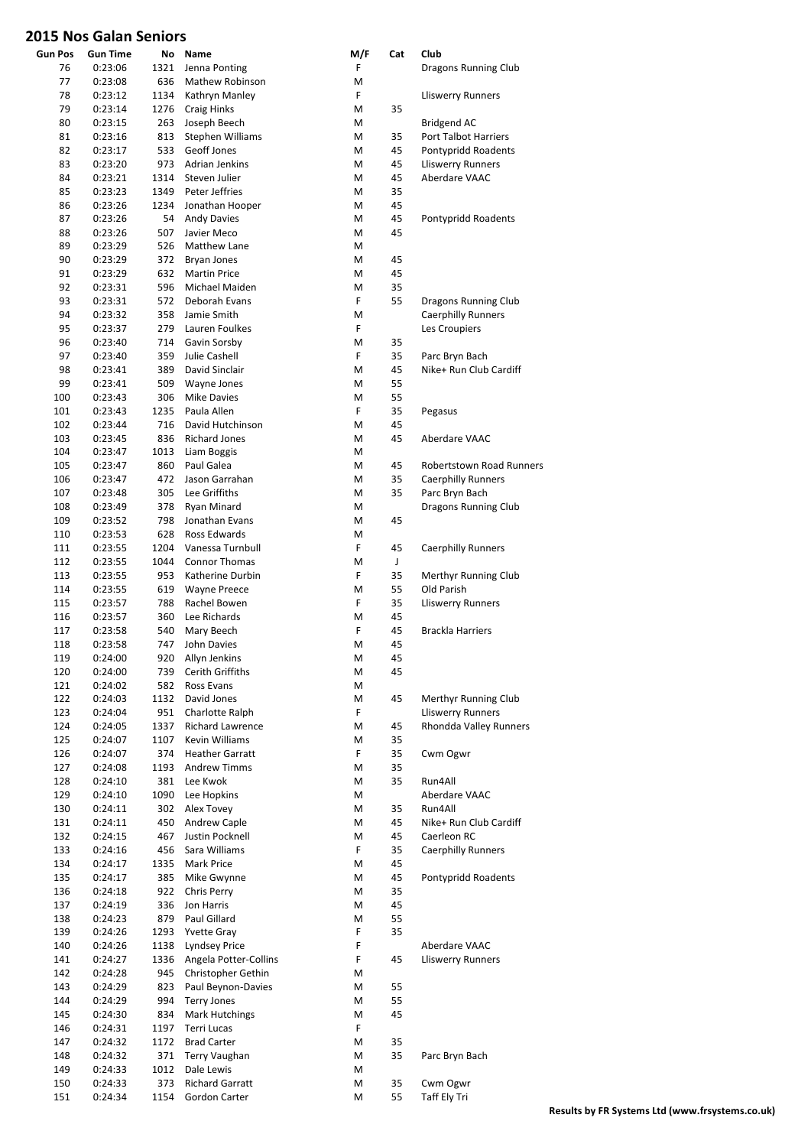| <b>Gun Pos</b> | <b>Gun Time</b> | No   | Name                   | M/F                                                                                                        | Cat | Club                      |
|----------------|-----------------|------|------------------------|------------------------------------------------------------------------------------------------------------|-----|---------------------------|
| 76             | 0:23:06         | 1321 | Jenna Ponting          | F                                                                                                          |     | Dragons Running Club      |
| 77             | 0:23:08         | 636  | Mathew Robinson        | М                                                                                                          |     |                           |
| 78             | 0:23:12         | 1134 | Kathryn Manley         | F                                                                                                          |     | <b>Lliswerry Runners</b>  |
| 79             | 0:23:14         | 1276 | <b>Craig Hinks</b>     | M                                                                                                          | 35  |                           |
| 80             | 0:23:15         | 263  | Joseph Beech           | М                                                                                                          |     | Bridgend AC               |
| 81             | 0:23:16         | 813  | Stephen Williams       | M                                                                                                          | 35  | Port Talbot Harriers      |
| 82             | 0:23:17         | 533  | Geoff Jones            | M                                                                                                          | 45  | Pontypridd Roadents       |
| 83             | 0:23:20         | 973  | <b>Adrian Jenkins</b>  | M                                                                                                          | 45  | <b>Lliswerry Runners</b>  |
| 84             | 0:23:21         | 1314 | Steven Julier          | M                                                                                                          | 45  | Aberdare VAAC             |
| 85             | 0:23:23         | 1349 | Peter Jeffries         | M                                                                                                          | 35  |                           |
| 86             | 0:23:26         | 1234 | Jonathan Hooper        | M                                                                                                          | 45  |                           |
| 87             | 0:23:26         | 54   | Andy Davies            | М                                                                                                          | 45  | Pontypridd Roadents       |
| 88             | 0:23:26         | 507  | Javier Meco            | M                                                                                                          | 45  |                           |
| 89             | 0:23:29         | 526  | Matthew Lane           | M                                                                                                          |     |                           |
| 90             | 0:23:29         | 372  | <b>Bryan Jones</b>     | M                                                                                                          | 45  |                           |
| 91             | 0:23:29         | 632  | <b>Martin Price</b>    | M                                                                                                          | 45  |                           |
| 92             | 0:23:31         | 596  | Michael Maiden         | M                                                                                                          | 35  |                           |
| 93             | 0:23:31         | 572  | Deborah Evans          | F                                                                                                          | 55  | Dragons Running Club      |
| 94             | 0:23:32         | 358  | Jamie Smith            | М                                                                                                          |     | <b>Caerphilly Runners</b> |
| 95             | 0:23:37         | 279  | Lauren Foulkes         | F                                                                                                          |     | Les Croupiers             |
| 96             | 0:23:40         | 714  | Gavin Sorsby           | M                                                                                                          | 35  |                           |
| 97             | 0:23:40         | 359  | Julie Cashell          | F                                                                                                          | 35  | Parc Bryn Bach            |
| 98             | 0:23:41         | 389  | David Sinclair         | M                                                                                                          | 45  | Nike+ Run Club Cardiff    |
| 99             | 0:23:41         | 509  | Wayne Jones            | M                                                                                                          | 55  |                           |
| 100            | 0:23:43         | 306  | <b>Mike Davies</b>     | M                                                                                                          | 55  |                           |
| 101            | 0:23:43         | 1235 | Paula Allen            | F                                                                                                          | 35  | Pegasus                   |
| 102            | 0:23:44         | 716  | David Hutchinson       | M                                                                                                          | 45  |                           |
| 103            | 0:23:45         | 836  | <b>Richard Jones</b>   | M                                                                                                          | 45  | Aberdare VAAC             |
| 104            | 0:23:47         | 1013 | Liam Boggis            | М                                                                                                          |     |                           |
| 105            | 0:23:47         | 860  | Paul Galea             | M                                                                                                          | 45  | Robertstown Road Runners  |
| 106            | 0:23:47         | 472  | Jason Garrahan         | M                                                                                                          | 35  | <b>Caerphilly Runners</b> |
| 107            | 0:23:48         | 305  | Lee Griffiths          | M                                                                                                          | 35  | Parc Bryn Bach            |
| 108            | 0:23:49         | 378  | Ryan Minard            | M                                                                                                          |     | Dragons Running Club      |
| 109            | 0:23:52         | 798  | Jonathan Evans         | M                                                                                                          | 45  |                           |
| 110            | 0:23:53         | 628  | Ross Edwards           | М                                                                                                          |     |                           |
| 111            | 0:23:55         | 1204 | Vanessa Turnbull       | F                                                                                                          | 45  | <b>Caerphilly Runners</b> |
| 112            | 0:23:55         | 1044 | <b>Connor Thomas</b>   | М                                                                                                          | J   |                           |
| 113            | 0:23:55         | 953  | Katherine Durbin       | F                                                                                                          | 35  | Merthyr Running Club      |
| 114            | 0:23:55         | 619  | <b>Wayne Preece</b>    | M                                                                                                          | 55  | Old Parish                |
| 115            | 0:23:57         | 788  | Rachel Bowen           | F                                                                                                          | 35  | <b>Lliswerry Runners</b>  |
| 116            | 0:23:57         | 360  | Lee Richards           | M                                                                                                          | 45  |                           |
| 117            | 0:23:58         | 540  | Mary Beech             | F                                                                                                          | 45  | <b>Brackla Harriers</b>   |
|                |                 | 747  | John Davies            | М                                                                                                          | 45  |                           |
| 118            | 0:23:58         |      |                        |                                                                                                            |     |                           |
| 119            | 0:24:00         | 920  | Allyn Jenkins          | $\mathsf{M}% _{T}=\mathsf{M}_{T}\!\left( a,b\right) ,\ \mathsf{M}_{T}=\mathsf{M}_{T}\!\left( a,b\right) ,$ | 45  |                           |
| 120            | 0:24:00         | 739  | Cerith Griffiths       | М                                                                                                          | 45  |                           |
| 121            | 0:24:02         | 582  | Ross Evans             | M                                                                                                          |     |                           |
| 122            | 0:24:03         | 1132 | David Jones            | Μ                                                                                                          | 45  | Merthyr Running Club      |
| 123            | 0:24:04         | 951  | Charlotte Ralph        | F                                                                                                          |     | <b>Lliswerry Runners</b>  |
| 124            | 0:24:05         | 1337 | Richard Lawrence       | M                                                                                                          | 45  | Rhondda Valley Runners    |
| 125            | 0:24:07         | 1107 | Kevin Williams         | Μ                                                                                                          | 35  |                           |
| 126            | 0:24:07         | 374  | <b>Heather Garratt</b> | F                                                                                                          | 35  | Cwm Ogwr                  |
| 127            | 0:24:08         | 1193 | <b>Andrew Timms</b>    | M                                                                                                          | 35  |                           |
| 128            | 0:24:10         | 381  | Lee Kwok               | Μ                                                                                                          | 35  | Run4All                   |
| 129            | 0:24:10         | 1090 | Lee Hopkins            | Μ                                                                                                          |     | Aberdare VAAC             |
| 130            | 0:24:11         | 302  | Alex Tovey             | M                                                                                                          | 35  | Run4All                   |
| 131            | 0:24:11         | 450  | Andrew Caple           | M                                                                                                          | 45  | Nike+ Run Club Cardiff    |
| 132            | 0:24:15         | 467  | Justin Pocknell        | M                                                                                                          | 45  | Caerleon RC               |
| 133            | 0:24:16         | 456  | Sara Williams          | F                                                                                                          | 35  | <b>Caerphilly Runners</b> |
| 134            | 0:24:17         | 1335 | Mark Price             | М                                                                                                          | 45  |                           |
| 135            | 0:24:17         | 385  | Mike Gwynne            | M                                                                                                          | 45  | Pontypridd Roadents       |
| 136            | 0:24:18         | 922  | Chris Perry            | M                                                                                                          | 35  |                           |
| 137            | 0:24:19         | 336  | Jon Harris             | M                                                                                                          | 45  |                           |
| 138            | 0:24:23         | 879  | Paul Gillard           | M                                                                                                          | 55  |                           |
| 139            | 0:24:26         | 1293 | <b>Yvette Gray</b>     | F                                                                                                          | 35  |                           |
| 140            | 0:24:26         | 1138 | <b>Lyndsey Price</b>   | F                                                                                                          |     | Aberdare VAAC             |
| 141            | 0:24:27         | 1336 | Angela Potter-Collins  | F                                                                                                          | 45  | <b>Lliswerry Runners</b>  |
| 142            | 0:24:28         | 945  | Christopher Gethin     | М                                                                                                          |     |                           |
| 143            | 0:24:29         | 823  | Paul Beynon-Davies     | Μ                                                                                                          | 55  |                           |
| 144            | 0:24:29         | 994  | <b>Terry Jones</b>     | M                                                                                                          | 55  |                           |
| 145            | 0:24:30         | 834  | Mark Hutchings         | М                                                                                                          | 45  |                           |
| 146            | 0:24:31         | 1197 | Terri Lucas            | F                                                                                                          |     |                           |
| 147            | 0:24:32         | 1172 | <b>Brad Carter</b>     | M                                                                                                          | 35  |                           |
| 148            | 0:24:32         | 371  | Terry Vaughan          | Μ                                                                                                          | 35  | Parc Bryn Bach            |
| 149            | 0:24:33         | 1012 | Dale Lewis             | M                                                                                                          |     |                           |
| 150            | 0:24:33         | 373  | <b>Richard Garratt</b> | Μ                                                                                                          | 35  | Cwm Ogwr                  |
| 151            | 0:24:34         | 1154 | Gordon Carter          | M                                                                                                          | 55  | Taff Ely Tri              |
|                |                 |      |                        |                                                                                                            |     |                           |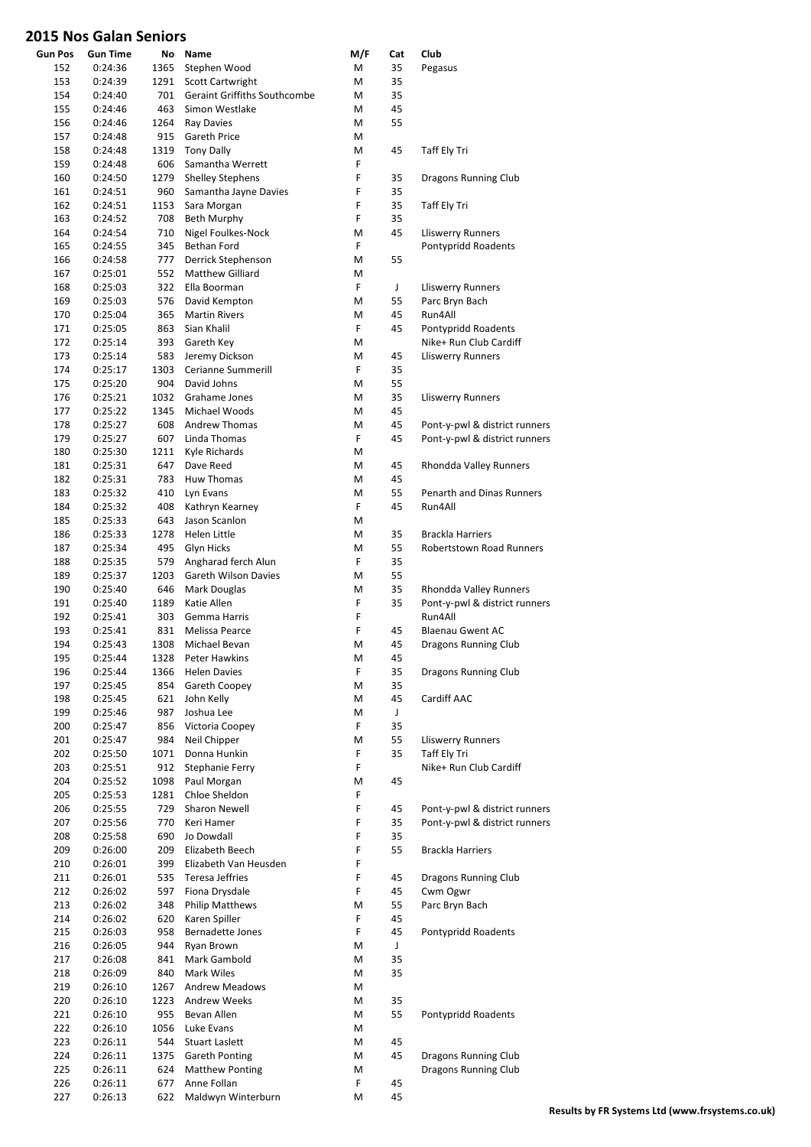| <b>Gun Pos</b> | <b>Gun Time</b> | No   | Name                                | M/F | Cat | Club                            |
|----------------|-----------------|------|-------------------------------------|-----|-----|---------------------------------|
| 152            | 0:24:36         | 1365 | Stephen Wood                        | M   | 35  | Pegasus                         |
| 153            | 0:24:39         | 1291 | <b>Scott Cartwright</b>             | М   | 35  |                                 |
| 154            | 0:24:40         | 701  | <b>Geraint Griffiths Southcombe</b> | М   | 35  |                                 |
| 155            | 0:24:46         | 463  | Simon Westlake                      | M   | 45  |                                 |
| 156            | 0:24:46         | 1264 | <b>Ray Davies</b>                   | М   | 55  |                                 |
| 157            | 0:24:48         | 915  | <b>Gareth Price</b>                 | М   |     |                                 |
| 158            | 0:24:48         | 1319 | <b>Tony Dally</b>                   | M   | 45  | Taff Ely Tri                    |
| 159            | 0:24:48         | 606  | Samantha Werrett                    | F   |     |                                 |
| 160            | 0:24:50         | 1279 | <b>Shelley Stephens</b>             | F   | 35  | Dragons Running Club            |
| 161            | 0:24:51         | 960  | Samantha Jayne Davies               | F   | 35  |                                 |
| 162            | 0:24:51         | 1153 | Sara Morgan                         | F   | 35  | Taff Ely Tri                    |
| 163            | 0:24:52         | 708  | <b>Beth Murphy</b>                  | F   | 35  |                                 |
| 164            | 0:24:54         | 710  | Nigel Foulkes-Nock                  | М   | 45  | Lliswerry Runners               |
| 165            | 0:24:55         | 345  | Bethan Ford                         | F   |     | Pontypridd Roadents             |
| 166            | 0:24:58         | 777  | Derrick Stephenson                  | M   | 55  |                                 |
| 167            | 0:25:01         | 552  | Matthew Gilliard                    | М   |     |                                 |
| 168            | 0:25:03         | 322  | Ella Boorman                        | F   | J   | <b>Lliswerry Runners</b>        |
| 169            | 0:25:03         | 576  | David Kempton                       | М   | 55  | Parc Bryn Bach                  |
| 170            | 0:25:04         | 365  | <b>Martin Rivers</b>                | M   | 45  | Run4All                         |
| 171            | 0:25:05         | 863  | Sian Khalil                         | F   | 45  | Pontypridd Roadents             |
| 172            | 0:25:14         | 393  | Gareth Key                          | М   |     | Nike+ Run Club Cardiff          |
| 173            | 0:25:14         | 583  | Jeremy Dickson                      | М   | 45  | <b>Lliswerry Runners</b>        |
| 174            | 0:25:17         | 1303 | Cerianne Summerill                  | F   | 35  |                                 |
| 175            | 0:25:20         | 904  | David Johns                         | М   | 55  |                                 |
| 176            |                 | 1032 | Grahame Jones                       |     |     |                                 |
|                | 0:25:21         |      |                                     | М   | 35  | <b>Lliswerry Runners</b>        |
| 177            | 0:25:22         | 1345 | Michael Woods                       | M   | 45  |                                 |
| 178            | 0:25:27         | 608  | Andrew Thomas                       | М   | 45  | Pont-y-pwl & district runners   |
| 179            | 0:25:27         | 607  | Linda Thomas                        | F   | 45  | Pont-y-pwl & district runners   |
| 180            | 0:25:30         | 1211 | Kyle Richards                       | M   |     |                                 |
| 181            | 0:25:31         | 647  | Dave Reed                           | М   | 45  | Rhondda Valley Runners          |
| 182            | 0:25:31         | 783  | <b>Huw Thomas</b>                   | М   | 45  |                                 |
| 183            | 0:25:32         | 410  | Lyn Evans                           | M   | 55  | Penarth and Dinas Runners       |
| 184            | 0:25:32         | 408  | Kathryn Kearney                     | F   | 45  | Run4All                         |
| 185            | 0:25:33         | 643  | Jason Scanlon                       | М   |     |                                 |
| 186            | 0:25:33         | 1278 | Helen Little                        | М   | 35  | Brackla Harriers                |
| 187            | 0:25:34         | 495  | Glyn Hicks                          | М   | 55  | <b>Robertstown Road Runners</b> |
| 188            | 0:25:35         | 579  | Angharad ferch Alun                 | F   | 35  |                                 |
| 189            | 0:25:37         | 1203 | Gareth Wilson Davies                | М   | 55  |                                 |
| 190            | 0:25:40         | 646  | Mark Douglas                        | М   | 35  | Rhondda Valley Runners          |
| 191            | 0:25:40         | 1189 | Katie Allen                         | F   | 35  | Pont-y-pwl & district runners   |
| 192            | 0:25:41         | 303  | Gemma Harris                        | F   |     | Run4All                         |
| 193            | 0:25:41         | 831  | Melissa Pearce                      | F   | 45  | <b>Blaenau Gwent AC</b>         |
| 194            | 0:25:43         | 1308 | Michael Bevan                       | м   | 45  | Dragons Running Club            |
| 195            | 0:25:44         |      | 1328 Peter Hawkins                  | M   | 45  |                                 |
| 196            | 0:25:44         | 1366 | <b>Helen Davies</b>                 | F   | 35  | Dragons Running Club            |
| 197            | 0:25:45         | 854  | Gareth Coopey                       | M   | 35  |                                 |
| 198            | 0:25:45         | 621  | John Kelly                          | M   | 45  | Cardiff AAC                     |
| 199            | 0:25:46         | 987  | Joshua Lee                          | M   | J   |                                 |
| 200            | 0:25:47         | 856  | Victoria Coopey                     | F   | 35  |                                 |
| 201            | 0:25:47         | 984  | Neil Chipper                        | M   | 55  | Lliswerry Runners               |
| 202            | 0:25:50         | 1071 | Donna Hunkin                        | F   | 35  | Taff Ely Tri                    |
| 203            | 0:25:51         | 912  | Stephanie Ferry                     | F   |     | Nike+ Run Club Cardiff          |
| 204            | 0:25:52         | 1098 | Paul Morgan                         | M   | 45  |                                 |
| 205            | 0:25:53         | 1281 | Chloe Sheldon                       | F   |     |                                 |
| 206            | 0:25:55         | 729  | Sharon Newell                       | F   | 45  | Pont-y-pwl & district runners   |
| 207            | 0:25:56         | 770  | Keri Hamer                          | F   | 35  | Pont-y-pwl & district runners   |
| 208            | 0:25:58         | 690  | Jo Dowdall                          | F   | 35  |                                 |
|                |                 | 209  | Elizabeth Beech                     | F   | 55  |                                 |
| 209            | 0:26:00         |      |                                     | F   |     | Brackla Harriers                |
| 210            | 0:26:01         | 399  | Elizabeth Van Heusden               | F   |     |                                 |
| 211            | 0:26:01         | 535  | Teresa Jeffries                     |     | 45  | Dragons Running Club            |
| 212            | 0:26:02         | 597  | Fiona Drysdale                      | F   | 45  | Cwm Ogwr                        |
| 213            | 0:26:02         | 348  | <b>Philip Matthews</b>              | M   | 55  | Parc Bryn Bach                  |
| 214            | 0:26:02         | 620  | Karen Spiller                       | F   | 45  |                                 |
| 215            | 0:26:03         | 958  | <b>Bernadette Jones</b>             | F   | 45  | Pontypridd Roadents             |
| 216            | 0:26:05         | 944  | Ryan Brown                          | Μ   | J   |                                 |
| 217            | 0:26:08         | 841  | Mark Gambold                        | M   | 35  |                                 |
| 218            | 0:26:09         | 840  | <b>Mark Wiles</b>                   | М   | 35  |                                 |
| 219            | 0:26:10         | 1267 | <b>Andrew Meadows</b>               | Μ   |     |                                 |
| 220            | 0:26:10         | 1223 | <b>Andrew Weeks</b>                 | Μ   | 35  |                                 |
| 221            | 0:26:10         | 955  | Bevan Allen                         | М   | 55  | Pontypridd Roadents             |
| 222            | 0:26:10         | 1056 | Luke Evans                          | M   |     |                                 |
| 223            | 0:26:11         | 544  | Stuart Laslett                      | M   | 45  |                                 |
| 224            | 0:26:11         | 1375 | Gareth Ponting                      | M   | 45  | Dragons Running Club            |
| 225            | 0:26:11         | 624  | <b>Matthew Ponting</b>              | M   |     | Dragons Running Club            |
| 226            | 0:26:11         | 677  | Anne Follan                         | F   | 45  |                                 |
| 227            | 0:26:13         | 622  | Maldwyn Winterburn                  | M   | 45  |                                 |
|                |                 |      |                                     |     |     |                                 |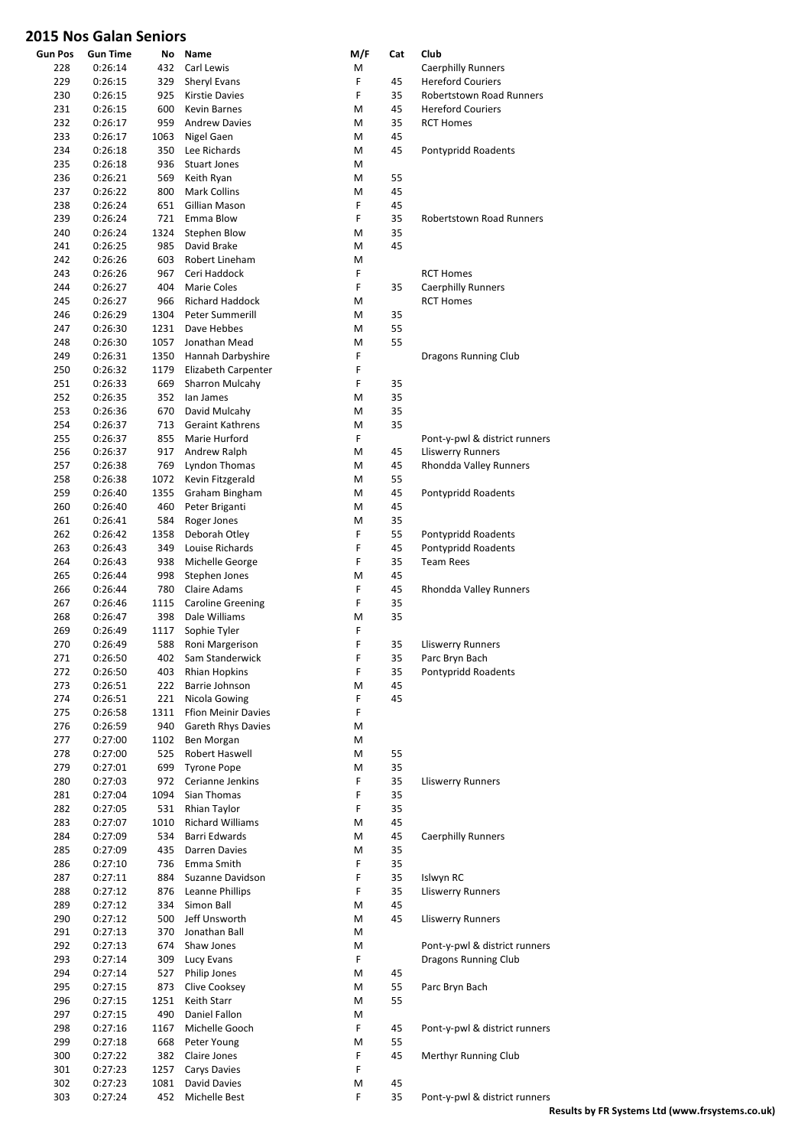| <b>Gun Pos</b> | <b>Gun Time</b>    |             | No Name                                | M/F    | Cat      | Club                                  |
|----------------|--------------------|-------------|----------------------------------------|--------|----------|---------------------------------------|
| 228            | 0:26:14            | 432         | Carl Lewis                             | M      |          | <b>Caerphilly Runners</b>             |
| 229            | 0:26:15            | 329         | Sheryl Evans                           | F      | 45       | <b>Hereford Couriers</b>              |
| 230            | 0:26:15            | 925         | <b>Kirstie Davies</b>                  | F      | 35       | Robertstown Road Runners              |
| 231            | 0:26:15            | 600         | Kevin Barnes                           | М      | 45       | <b>Hereford Couriers</b>              |
| 232            | 0:26:17            | 959         | <b>Andrew Davies</b>                   | M      | 35       | <b>RCT Homes</b>                      |
| 233            | 0:26:17            | 1063        | Nigel Gaen                             | М      | 45       |                                       |
| 234            | 0:26:18            | 350         | Lee Richards                           | M      | 45       | Pontypridd Roadents                   |
| 235            | 0:26:18            | 936         | <b>Stuart Jones</b>                    | M      |          |                                       |
| 236            | 0:26:21            | 569         | Keith Ryan                             | M      | 55       |                                       |
| 237            | 0:26:22            | 800         | Mark Collins                           | M      | 45       |                                       |
| 238            | 0:26:24            | 651         | Gillian Mason                          | F      | 45       |                                       |
| 239            | 0:26:24            | 721         | Emma Blow<br>Stephen Blow              | F      | 35       | <b>Robertstown Road Runners</b>       |
| 240<br>241     | 0:26:24            | 1324<br>985 | David Brake                            | М<br>M | 35<br>45 |                                       |
| 242            | 0:26:25<br>0:26:26 | 603         | Robert Lineham                         | М      |          |                                       |
| 243            | 0:26:26            | 967         | Ceri Haddock                           | F      |          | <b>RCT Homes</b>                      |
| 244            | 0:26:27            | 404         | Marie Coles                            | F      | 35       | <b>Caerphilly Runners</b>             |
| 245            | 0:26:27            | 966         | <b>Richard Haddock</b>                 | M      |          | <b>RCT Homes</b>                      |
| 246            | 0:26:29            | 1304        | Peter Summerill                        | M      | 35       |                                       |
| 247            | 0:26:30            | 1231        | Dave Hebbes                            | M      | 55       |                                       |
| 248            | 0:26:30            | 1057        | Jonathan Mead                          | М      | 55       |                                       |
| 249            | 0:26:31            | 1350        | Hannah Darbyshire                      | F      |          | Dragons Running Club                  |
| 250            | 0:26:32            | 1179        | Elizabeth Carpenter                    | F      |          |                                       |
| 251            | 0:26:33            | 669         | Sharron Mulcahy                        | F      | 35       |                                       |
| 252            | 0:26:35            | 352         | lan James                              | М      | 35       |                                       |
| 253            | 0:26:36            | 670         | David Mulcahy                          | M      | 35       |                                       |
| 254            | 0:26:37            | 713         | <b>Geraint Kathrens</b>                | M      | 35       |                                       |
| 255            | 0:26:37            | 855         | Marie Hurford                          | F      |          | Pont-y-pwl & district runners         |
| 256            | 0:26:37            | 917         | Andrew Ralph                           | М      | 45       | <b>Lliswerry Runners</b>              |
| 257            | 0:26:38            | 769         | Lyndon Thomas                          | M      | 45       | Rhondda Valley Runners                |
| 258            | 0:26:38            | 1072        | Kevin Fitzgerald                       | М      | 55       |                                       |
| 259            | 0:26:40            | 1355        | Graham Bingham                         | М      | 45       | Pontypridd Roadents                   |
| 260            | 0:26:40            | 460         | Peter Briganti                         | M      | 45       |                                       |
| 261            | 0:26:41            | 584         | Roger Jones                            | М      | 35       |                                       |
| 262            | 0:26:42            | 1358        | Deborah Otley                          | F      | 55       | Pontypridd Roadents                   |
| 263            | 0:26:43            | 349         | Louise Richards                        | F      | 45       | Pontypridd Roadents                   |
| 264            | 0:26:43            | 938         | Michelle George                        | F      | 35       | <b>Team Rees</b>                      |
| 265            | 0:26:44            | 998         | Stephen Jones                          | М      | 45       |                                       |
| 266            | 0:26:44            | 780         | Claire Adams                           | F      | 45       | Rhondda Valley Runners                |
| 267            | 0:26:46            | 1115        | <b>Caroline Greening</b>               | F      | 35       |                                       |
| 268            | 0:26:47            | 398         | Dale Williams                          | М      | 35       |                                       |
| 269            | 0:26:49            | 1117        | Sophie Tyler                           | F      |          |                                       |
| 270            | 0:26:49            | 588         | Roni Margerison                        | F      | 35       | <b>Lliswerry Runners</b>              |
| 271<br>272     | 0:26:50            | 402         | Sam Standerwick                        | F<br>F | 35<br>35 | Parc Bryn Bach<br>Pontypridd Roadents |
| 273            | 0:26:50<br>0:26:51 | 403<br>222  | <b>Rhian Hopkins</b><br>Barrie Johnson | M      | 45       |                                       |
| 274            | 0:26:51            | 221         | Nicola Gowing                          | F      | 45       |                                       |
| 275            | 0:26:58            | 1311        | <b>Ffion Meinir Davies</b>             | F      |          |                                       |
| 276            | 0:26:59            | 940         | Gareth Rhys Davies                     | м      |          |                                       |
| 277            | 0:27:00            | 1102        | Ben Morgan                             | М      |          |                                       |
| 278            | 0:27:00            | 525         | Robert Haswell                         | М      | 55       |                                       |
| 279            | 0:27:01            | 699         | <b>Tyrone Pope</b>                     | M      | 35       |                                       |
| 280            | 0:27:03            | 972         | Cerianne Jenkins                       | F      | 35       | <b>Lliswerry Runners</b>              |
| 281            | 0:27:04            | 1094        | Sian Thomas                            | F      | 35       |                                       |
| 282            | 0:27:05            | 531         | Rhian Taylor                           | F      | 35       |                                       |
| 283            | 0:27:07            | 1010        | <b>Richard Williams</b>                | M      | 45       |                                       |
| 284            | 0:27:09            | 534         | Barri Edwards                          | M      | 45       | <b>Caerphilly Runners</b>             |
| 285            | 0:27:09            | 435         | Darren Davies                          | M      | 35       |                                       |
| 286            | 0:27:10            | 736         | Emma Smith                             | F      | 35       |                                       |
| 287            | 0:27:11            | 884         | Suzanne Davidson                       | F      | 35       | Islwyn RC                             |
| 288            | 0:27:12            | 876         | Leanne Phillips                        | F      | 35       | <b>Lliswerry Runners</b>              |
| 289            | 0:27:12            | 334         | Simon Ball                             | М      | 45       |                                       |
| 290            | 0:27:12            | 500         | Jeff Unsworth                          | M      | 45       | Lliswerry Runners                     |
| 291            | 0:27:13            | 370         | Jonathan Ball                          | M      |          |                                       |
| 292            | 0:27:13            | 674         | Shaw Jones                             | M<br>F |          | Pont-y-pwl & district runners         |
| 293            | 0:27:14            | 309         | Lucy Evans                             |        |          | Dragons Running Club                  |
| 294<br>295     | 0:27:14<br>0:27:15 | 527<br>873  | Philip Jones<br>Clive Cooksey          | M<br>M | 45<br>55 | Parc Bryn Bach                        |
| 296            | 0:27:15            | 1251        | Keith Starr                            | M      | 55       |                                       |
| 297            | 0:27:15            | 490         | Daniel Fallon                          | м      |          |                                       |
| 298            | 0:27:16            | 1167        | Michelle Gooch                         | F      | 45       | Pont-y-pwl & district runners         |
| 299            | 0:27:18            | 668         | Peter Young                            | M      | 55       |                                       |
| 300            | 0:27:22            | 382         | Claire Jones                           | F      | 45       | Merthyr Running Club                  |
| 301            | 0:27:23            | 1257        | Carys Davies                           | F      |          |                                       |
| 302            | 0:27:23            | 1081        | David Davies                           | M      | 45       |                                       |
| 303            | 0:27:24            | 452         | Michelle Best                          | F      | 35       | Pont-y-pwl & district runners         |
|                |                    |             |                                        |        |          |                                       |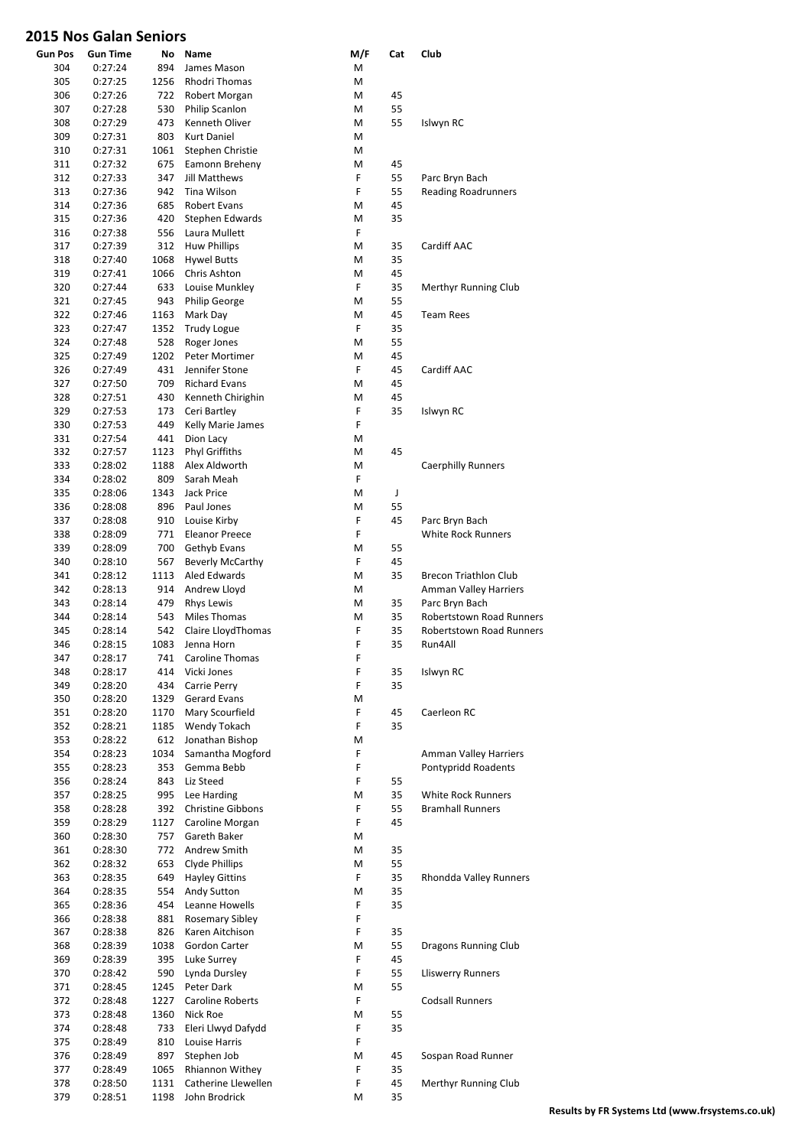| <b>Gun Pos</b> | <b>Gun Time</b> | No   | Name                     | M/F | Cat         | Club                            |
|----------------|-----------------|------|--------------------------|-----|-------------|---------------------------------|
| 304            | 0:27:24         | 894  | James Mason              | M   |             |                                 |
| 305            | 0:27:25         | 1256 | Rhodri Thomas            | М   |             |                                 |
| 306            | 0:27:26         | 722  | Robert Morgan            | M   | 45          |                                 |
| 307            | 0:27:28         | 530  | Philip Scanlon           | М   | 55          |                                 |
| 308            | 0:27:29         | 473  | Kenneth Oliver           | М   | 55          | Islwyn RC                       |
| 309            | 0:27:31         | 803  | <b>Kurt Daniel</b>       | М   |             |                                 |
| 310            | 0:27:31         | 1061 | Stephen Christie         | М   |             |                                 |
| 311            | 0:27:32         | 675  | Eamonn Breheny           | M   | 45          |                                 |
|                |                 |      |                          | F   |             |                                 |
| 312            | 0:27:33         | 347  | <b>Jill Matthews</b>     |     | 55          | Parc Bryn Bach                  |
| 313            | 0:27:36         | 942  | Tina Wilson              | F   | 55          | <b>Reading Roadrunners</b>      |
| 314            | 0:27:36         | 685  | Robert Evans             | M   | 45          |                                 |
| 315            | 0:27:36         | 420  | Stephen Edwards          | M   | 35          |                                 |
| 316            | 0:27:38         | 556  | Laura Mullett            | F   |             |                                 |
| 317            | 0:27:39         | 312  | <b>Huw Phillips</b>      | М   | 35          | Cardiff AAC                     |
| 318            | 0:27:40         | 1068 | <b>Hywel Butts</b>       | M   | 35          |                                 |
| 319            | 0:27:41         | 1066 | Chris Ashton             | M   | 45          |                                 |
| 320            | 0:27:44         | 633  | Louise Munkley           | F   | 35          | Merthyr Running Club            |
| 321            | 0:27:45         | 943  | <b>Philip George</b>     | М   | 55          |                                 |
| 322            | 0:27:46         | 1163 | Mark Day                 | M   | 45          | <b>Team Rees</b>                |
|                |                 | 1352 |                          | F   | 35          |                                 |
| 323            | 0:27:47         |      | <b>Trudy Logue</b>       |     |             |                                 |
| 324            | 0:27:48         | 528  | Roger Jones              | M   | 55          |                                 |
| 325            | 0:27:49         | 1202 | Peter Mortimer           | M   | 45          |                                 |
| 326            | 0:27:49         | 431  | Jennifer Stone           | F   | 45          | Cardiff AAC                     |
| 327            | 0:27:50         | 709  | <b>Richard Evans</b>     | М   | 45          |                                 |
| 328            | 0:27:51         | 430  | Kenneth Chirighin        | M   | 45          |                                 |
| 329            | 0:27:53         | 173  | Ceri Bartley             | F   | 35          | Islwyn RC                       |
| 330            | 0:27:53         | 449  | Kelly Marie James        | F   |             |                                 |
| 331            | 0:27:54         | 441  | Dion Lacy                | М   |             |                                 |
| 332            | 0:27:57         | 1123 | <b>Phyl Griffiths</b>    | M   | 45          |                                 |
|                |                 |      |                          |     |             |                                 |
| 333            | 0:28:02         | 1188 | Alex Aldworth            | М   |             | <b>Caerphilly Runners</b>       |
| 334            | 0:28:02         | 809  | Sarah Meah               | F   |             |                                 |
| 335            | 0:28:06         | 1343 | Jack Price               | М   | $\mathsf J$ |                                 |
| 336            | 0:28:08         | 896  | Paul Jones               | М   | 55          |                                 |
| 337            | 0:28:08         | 910  | Louise Kirby             | F   | 45          | Parc Bryn Bach                  |
| 338            | 0:28:09         | 771  | <b>Eleanor Preece</b>    | F   |             | <b>White Rock Runners</b>       |
| 339            | 0:28:09         | 700  | Gethyb Evans             | M   | 55          |                                 |
| 340            | 0:28:10         | 567  | <b>Beverly McCarthy</b>  | F   | 45          |                                 |
| 341            | 0:28:12         | 1113 | <b>Aled Edwards</b>      | М   | 35          | Brecon Triathlon Club           |
|                | 0:28:13         | 914  |                          |     |             |                                 |
| 342            |                 |      | Andrew Lloyd             | М   |             | Amman Valley Harriers           |
| 343            | 0:28:14         | 479  | <b>Rhys Lewis</b>        | M   | 35          | Parc Bryn Bach                  |
| 344            | 0:28:14         | 543  | <b>Miles Thomas</b>      | M   | 35          | Robertstown Road Runners        |
| 345            | 0:28:14         | 542  | Claire LloydThomas       | F   | 35          | <b>Robertstown Road Runners</b> |
| 346            | 0:28:15         | 1083 | Jenna Horn               | F   | 35          | Run4All                         |
| 347            | 0:28:17         | 741  | Caroline Thomas          | F   |             |                                 |
| 348            | 0:28:17         | 414  | Vicki Jones              | F   | 35          | Islwyn RC                       |
| 349            | 0:28:20         | 434  | Carrie Perry             | F   | 35          |                                 |
| 350            | 0:28:20         | 1329 | <b>Gerard Evans</b>      | Μ   |             |                                 |
| 351            | 0:28:20         | 1170 | Mary Scourfield          | F   | 45          | Caerleon RC                     |
|                |                 |      |                          | F   | 35          |                                 |
| 352            | 0:28:21         | 1185 | Wendy Tokach             |     |             |                                 |
| 353            | 0:28:22         | 612  | Jonathan Bishop          | M   |             |                                 |
| 354            | 0:28:23         | 1034 | Samantha Mogford         | F   |             | Amman Valley Harriers           |
| 355            | 0:28:23         | 353  | Gemma Bebb               | F   |             | Pontypridd Roadents             |
| 356            | 0:28:24         | 843  | Liz Steed                | F   | 55          |                                 |
| 357            | 0:28:25         | 995  | Lee Harding              | Μ   | 35          | White Rock Runners              |
| 358            | 0:28:28         | 392  | <b>Christine Gibbons</b> | F   | 55          | <b>Bramhall Runners</b>         |
| 359            | 0:28:29         | 1127 | Caroline Morgan          | F   | 45          |                                 |
| 360            | 0:28:30         | 757  | Gareth Baker             | Μ   |             |                                 |
| 361            | 0:28:30         | 772  | Andrew Smith             | M   | 35          |                                 |
| 362            | 0:28:32         | 653  | Clyde Phillips           | M   | 55          |                                 |
|                |                 |      |                          |     |             |                                 |
| 363            | 0:28:35         | 649  | <b>Hayley Gittins</b>    | F   | 35          | Rhondda Valley Runners          |
| 364            | 0:28:35         | 554  | Andy Sutton              | M   | 35          |                                 |
| 365            | 0:28:36         | 454  | Leanne Howells           | F   | 35          |                                 |
| 366            | 0:28:38         | 881  | <b>Rosemary Sibley</b>   | F   |             |                                 |
| 367            | 0:28:38         | 826  | Karen Aitchison          | F   | 35          |                                 |
| 368            | 0:28:39         | 1038 | Gordon Carter            | M   | 55          | Dragons Running Club            |
| 369            | 0:28:39         | 395  | Luke Surrey              | F   | 45          |                                 |
| 370            | 0:28:42         | 590  | Lynda Dursley            | F   | 55          | <b>Lliswerry Runners</b>        |
| 371            | 0:28:45         | 1245 | Peter Dark               | Μ   | 55          |                                 |
|                |                 |      |                          | F   |             | <b>Codsall Runners</b>          |
| 372            | 0:28:48         | 1227 | Caroline Roberts         |     |             |                                 |
| 373            | 0:28:48         | 1360 | Nick Roe                 | M   | 55          |                                 |
| 374            | 0:28:48         | 733  | Eleri Llwyd Dafydd       | F   | 35          |                                 |
| 375            | 0:28:49         | 810  | Louise Harris            | F   |             |                                 |
| 376            | 0:28:49         | 897  | Stephen Job              | M   | 45          | Sospan Road Runner              |
| 377            | 0:28:49         | 1065 | Rhiannon Withey          | F   | 35          |                                 |
| 378            | 0:28:50         | 1131 | Catherine Llewellen      | F   | 45          | Merthyr Running Club            |
| 379            | 0:28:51         | 1198 | John Brodrick            | M   | 35          |                                 |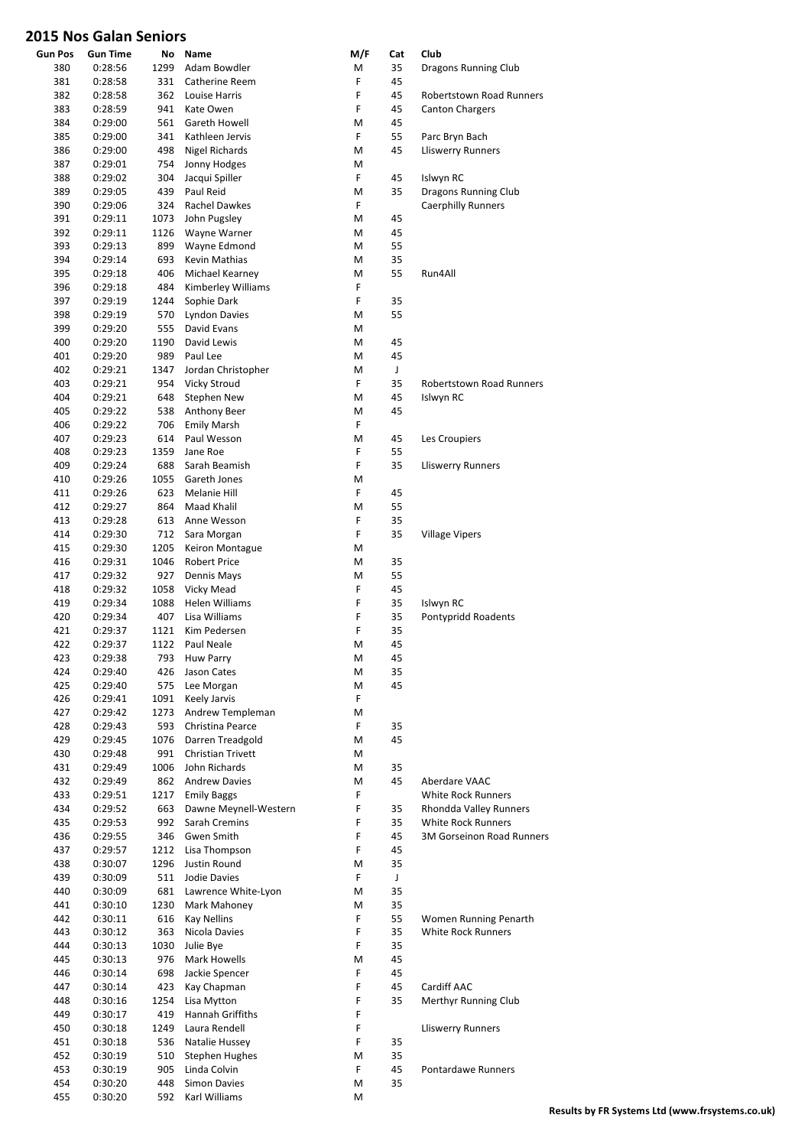| <b>Gun Pos</b> | <b>Gun Time</b>    | No           | Name                                  | M/F    | Cat      | Club                             |
|----------------|--------------------|--------------|---------------------------------------|--------|----------|----------------------------------|
| 380            | 0:28:56            | 1299         | Adam Bowdler                          | M      | 35       | Dragons Running Club             |
| 381            | 0:28:58            | 331          | Catherine Reem                        | F      | 45       |                                  |
| 382            | 0:28:58            | 362          | Louise Harris                         | F      | 45       | <b>Robertstown Road Runners</b>  |
| 383            | 0:28:59            | 941          | Kate Owen                             | F      | 45       | <b>Canton Chargers</b>           |
| 384<br>385     | 0:29:00<br>0:29:00 | 561<br>341   | Gareth Howell<br>Kathleen Jervis      | M<br>F | 45<br>55 | Parc Bryn Bach                   |
| 386            | 0:29:00            | 498          | Nigel Richards                        | M      | 45       | <b>Lliswerry Runners</b>         |
| 387            | 0:29:01            | 754          | Jonny Hodges                          | M      |          |                                  |
| 388            | 0:29:02            | 304          | Jacqui Spiller                        | F      | 45       | Islwyn RC                        |
| 389            | 0:29:05            | 439          | Paul Reid                             | M      | 35       | Dragons Running Club             |
| 390            | 0:29:06            | 324          | Rachel Dawkes                         | F      |          | <b>Caerphilly Runners</b>        |
| 391            | 0:29:11            | 1073         | John Pugsley                          | M      | 45       |                                  |
| 392            | 0:29:11            | 1126         | Wayne Warner                          | M      | 45       |                                  |
| 393            | 0:29:13            | 899          | Wayne Edmond                          | M      | 55       |                                  |
| 394            | 0:29:14            | 693          | Kevin Mathias                         | M      | 35       |                                  |
| 395<br>396     | 0:29:18<br>0:29:18 | 406<br>484   | Michael Kearney<br>Kimberley Williams | M<br>F | 55       | Run4All                          |
| 397            | 0:29:19            | 1244         | Sophie Dark                           | F      | 35       |                                  |
| 398            | 0:29:19            | 570          | <b>Lyndon Davies</b>                  | M      | 55       |                                  |
| 399            | 0:29:20            | 555          | David Evans                           | M      |          |                                  |
| 400            | 0:29:20            | 1190         | David Lewis                           | M      | 45       |                                  |
| 401            | 0:29:20            | 989          | Paul Lee                              | M      | 45       |                                  |
| 402            | 0:29:21            | 1347         | Jordan Christopher                    | M      | J        |                                  |
| 403            | 0:29:21            | 954          | Vicky Stroud                          | F      | 35       | <b>Robertstown Road Runners</b>  |
| 404            | 0:29:21            | 648          | Stephen New                           | M      | 45       | Islwyn RC                        |
| 405            | 0:29:22            | 538          | Anthony Beer                          | M      | 45       |                                  |
| 406<br>407     | 0:29:22<br>0:29:23 | 706<br>614   | <b>Emily Marsh</b><br>Paul Wesson     | F<br>M | 45       |                                  |
| 408            | 0:29:23            | 1359         | Jane Roe                              | F      | 55       | Les Croupiers                    |
| 409            | 0:29:24            | 688          | Sarah Beamish                         | F      | 35       | <b>Lliswerry Runners</b>         |
| 410            | 0:29:26            | 1055         | Gareth Jones                          | M      |          |                                  |
| 411            | 0:29:26            | 623          | Melanie Hill                          | F      | 45       |                                  |
| 412            | 0:29:27            | 864          | Maad Khalil                           | M      | 55       |                                  |
| 413            | 0:29:28            | 613          | Anne Wesson                           | F      | 35       |                                  |
| 414            | 0:29:30            | 712          | Sara Morgan                           | F      | 35       | <b>Village Vipers</b>            |
| 415            | 0:29:30            | 1205         | Keiron Montague                       | M      |          |                                  |
| 416            | 0:29:31            | 1046         | <b>Robert Price</b>                   | M      | 35       |                                  |
| 417            | 0:29:32            | 927          | Dennis Mays                           | M      | 55       |                                  |
| 418<br>419     | 0:29:32<br>0:29:34 | 1058<br>1088 | Vicky Mead<br><b>Helen Williams</b>   | F<br>F | 45<br>35 | Islwyn RC                        |
| 420            | 0:29:34            | 407          | Lisa Williams                         | F      | 35       | Pontypridd Roadents              |
| 421            | 0:29:37            | 1121         | Kim Pedersen                          | F      | 35       |                                  |
| 422            | 0:29:37            | 1122         | Paul Neale                            | M      | 45       |                                  |
| 423            | 0:29:38            | 793          | Huw Parry                             | M      | 45       |                                  |
| 424            | 0:29:40            | 426          | Jason Cates                           | M      | 35       |                                  |
| 425            | 0:29:40            | 575          | Lee Morgan                            | М      | 45       |                                  |
| 426            | 0:29:41            | 1091         | Keely Jarvis                          | F      |          |                                  |
| 427            | 0:29:42            | 1273         | Andrew Templeman                      | М      |          |                                  |
| 428<br>429     | 0:29:43<br>0:29:45 | 593<br>1076  | Christina Pearce<br>Darren Treadgold  | F<br>М | 35<br>45 |                                  |
| 430            | 0:29:48            | 991          | <b>Christian Trivett</b>              | М      |          |                                  |
| 431            | 0:29:49            | 1006         | John Richards                         | M      | 35       |                                  |
| 432            | 0:29:49            | 862          | <b>Andrew Davies</b>                  | M      | 45       | Aberdare VAAC                    |
| 433            | 0:29:51            | 1217         | <b>Emily Baggs</b>                    | F      |          | <b>White Rock Runners</b>        |
| 434            | 0:29:52            | 663          | Dawne Meynell-Western                 | F      | 35       | Rhondda Valley Runners           |
| 435            | 0:29:53            | 992          | Sarah Cremins                         | F      | 35       | White Rock Runners               |
| 436            | 0:29:55            | 346          | Gwen Smith                            | F      | 45       | <b>3M Gorseinon Road Runners</b> |
| 437            | 0:29:57            | 1212         | Lisa Thompson                         | F      | 45       |                                  |
| 438<br>439     | 0:30:07<br>0:30:09 | 1296<br>511  | Justin Round<br>Jodie Davies          | M<br>F | 35<br>J  |                                  |
| 440            | 0:30:09            | 681          | Lawrence White-Lyon                   | М      | 35       |                                  |
| 441            | 0:30:10            | 1230         | Mark Mahoney                          | M      | 35       |                                  |
| 442            | 0:30:11            | 616          | <b>Kay Nellins</b>                    | F      | 55       | Women Running Penarth            |
| 443            | 0:30:12            | 363          | Nicola Davies                         | F      | 35       | <b>White Rock Runners</b>        |
| 444            | 0:30:13            | 1030         | Julie Bye                             | F      | 35       |                                  |
| 445            | 0:30:13            | 976          | Mark Howells                          | M      | 45       |                                  |
| 446            | 0:30:14            | 698          | Jackie Spencer                        | F      | 45       |                                  |
| 447            | 0:30:14            | 423          | Kay Chapman                           | F      | 45       | Cardiff AAC                      |
| 448            | 0:30:16            | 1254         | Lisa Mytton<br>Hannah Griffiths       | F<br>F | 35       | Merthyr Running Club             |
| 449<br>450     | 0:30:17<br>0:30:18 | 419<br>1249  | Laura Rendell                         | F      |          | <b>Lliswerry Runners</b>         |
| 451            | 0:30:18            | 536          | Natalie Hussey                        | F      | 35       |                                  |
| 452            | 0:30:19            | 510          | <b>Stephen Hughes</b>                 | Μ      | 35       |                                  |
| 453            | 0:30:19            | 905          | Linda Colvin                          | F      | 45       | Pontardawe Runners               |
| 454            | 0:30:20            | 448          | Simon Davies                          | M      | 35       |                                  |
| 455            | 0:30:20            | 592          | Karl Williams                         | М      |          |                                  |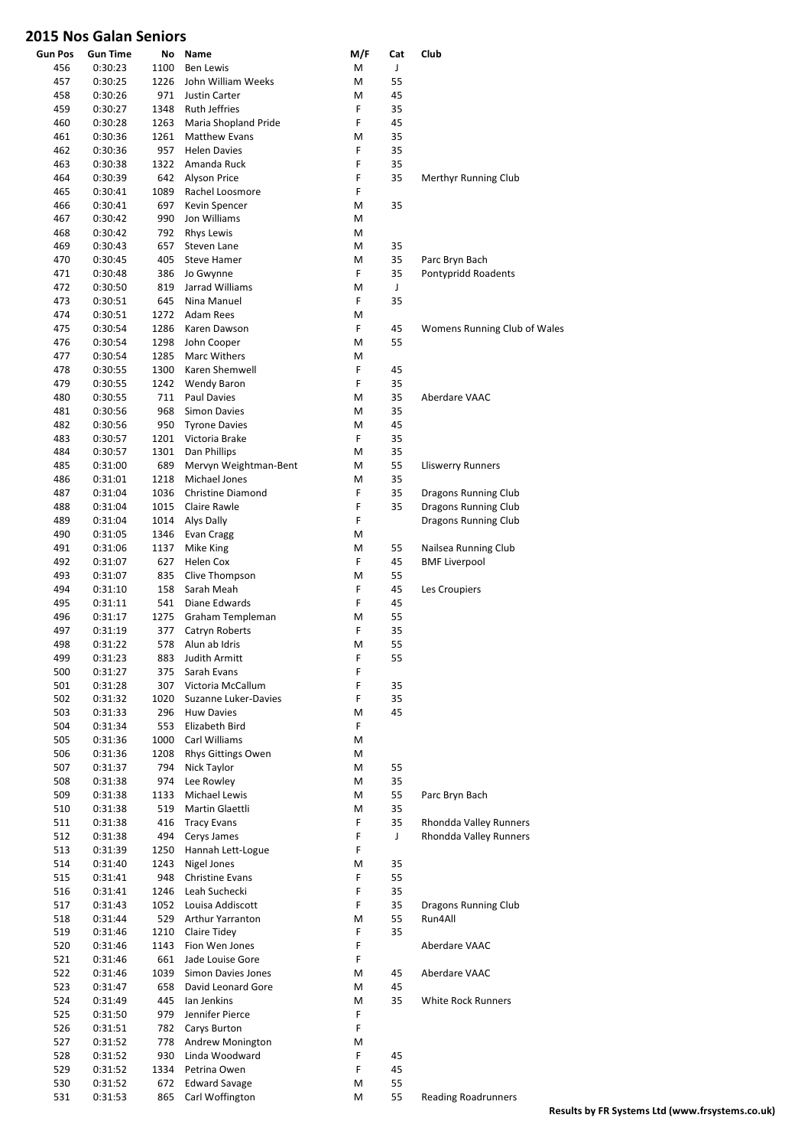| <b>Gun Pos</b> | <b>Gun Time</b> | No   | Name                     | M/F | Cat          | Club                         |
|----------------|-----------------|------|--------------------------|-----|--------------|------------------------------|
| 456            | 0:30:23         | 1100 | <b>Ben Lewis</b>         | М   | J            |                              |
| 457            | 0:30:25         | 1226 | John William Weeks       | M   | 55           |                              |
| 458            | 0:30:26         | 971  | Justin Carter            | М   | 45           |                              |
| 459            | 0:30:27         | 1348 | <b>Ruth Jeffries</b>     | F   | 35           |                              |
| 460            | 0:30:28         | 1263 | Maria Shopland Pride     | F   | 45           |                              |
| 461            | 0:30:36         | 1261 | <b>Matthew Evans</b>     | М   | 35           |                              |
| 462            | 0:30:36         | 957  | <b>Helen Davies</b>      | F   | 35           |                              |
| 463            | 0:30:38         | 1322 | Amanda Ruck              | F   | 35           |                              |
| 464            | 0:30:39         | 642  | <b>Alyson Price</b>      | F   | 35           | Merthyr Running Club         |
| 465            | 0:30:41         | 1089 | Rachel Loosmore          | F   |              |                              |
| 466            | 0:30:41         | 697  | Kevin Spencer            | M   | 35           |                              |
| 467            | 0:30:42         | 990  | Jon Williams             | M   |              |                              |
| 468            | 0:30:42         | 792  | <b>Rhys Lewis</b>        | M   |              |                              |
| 469            | 0:30:43         | 657  | Steven Lane              | M   | 35           |                              |
| 470            | 0:30:45         | 405  | Steve Hamer              | M   | 35           | Parc Bryn Bach               |
| 471            | 0:30:48         | 386  | Jo Gwynne                | F   | 35           | Pontypridd Roadents          |
| 472            | 0:30:50         | 819  | Jarrad Williams          | М   | $\mathsf J$  |                              |
| 473            | 0:30:51         | 645  | Nina Manuel              | F   | 35           |                              |
| 474            | 0:30:51         | 1272 | Adam Rees                | M   |              |                              |
| 475            |                 | 1286 |                          | F   | 45           |                              |
|                | 0:30:54         |      | Karen Dawson             |     | 55           | Womens Running Club of Wales |
| 476            | 0:30:54         | 1298 | John Cooper              | M   |              |                              |
| 477            | 0:30:54         | 1285 | Marc Withers             | M   |              |                              |
| 478            | 0:30:55         | 1300 | Karen Shemwell           | F   | 45           |                              |
| 479            | 0:30:55         | 1242 | <b>Wendy Baron</b>       | F   | 35           |                              |
| 480            | 0:30:55         | 711  | <b>Paul Davies</b>       | М   | 35           | Aberdare VAAC                |
| 481            | 0:30:56         | 968  | Simon Davies             | M   | 35           |                              |
| 482            | 0:30:56         | 950  | <b>Tyrone Davies</b>     | М   | 45           |                              |
| 483            | 0:30:57         | 1201 | Victoria Brake           | F   | 35           |                              |
| 484            | 0:30:57         | 1301 | Dan Phillips             | M   | 35           |                              |
| 485            | 0:31:00         | 689  | Mervyn Weightman-Bent    | M   | 55           | <b>Lliswerry Runners</b>     |
| 486            | 0:31:01         | 1218 | Michael Jones            | M   | 35           |                              |
| 487            | 0:31:04         | 1036 | <b>Christine Diamond</b> | F   | 35           | Dragons Running Club         |
| 488            | 0:31:04         | 1015 | Claire Rawle             | F   | 35           | Dragons Running Club         |
| 489            | 0:31:04         | 1014 | Alys Dally               | F   |              | Dragons Running Club         |
| 490            | 0:31:05         | 1346 | Evan Cragg               | M   |              |                              |
| 491            | 0:31:06         | 1137 | Mike King                | М   | 55           | Nailsea Running Club         |
| 492            | 0:31:07         | 627  | Helen Cox                | F   | 45           | <b>BMF Liverpool</b>         |
| 493            | 0:31:07         | 835  | Clive Thompson           | М   | 55           |                              |
| 494            | 0:31:10         | 158  | Sarah Meah               | F   | 45           | Les Croupiers                |
| 495            | 0:31:11         | 541  | Diane Edwards            | F   | 45           |                              |
|                | 0:31:17         |      |                          |     |              |                              |
| 496            |                 | 1275 | Graham Templeman         | Μ   | 55           |                              |
| 497            | 0:31:19         | 377  | Catryn Roberts           | F   | 35           |                              |
| 498            | 0:31:22         | 578  | Alun ab Idris            | М   | 55           |                              |
| 499            | 0:31:23         | 883  | Judith Armitt            | F   | 55           |                              |
| 500            | 0:31:27         | 375  | Sarah Evans              | F   |              |                              |
| 501            | 0:31:28         | 307  | Victoria McCallum        | F   | 35           |                              |
| 502            | 0:31:32         | 1020 | Suzanne Luker-Davies     | F   | 35           |                              |
| 503            | 0:31:33         |      | 296 Huw Davies           | М   | 45           |                              |
| 504            | 0:31:34         |      | 553 Elizabeth Bird       | F   |              |                              |
| 505            | 0:31:36         | 1000 | Carl Williams            | M   |              |                              |
| 506            | 0:31:36         | 1208 | Rhys Gittings Owen       | М   |              |                              |
| 507            | 0:31:37         | 794  | Nick Taylor              | М   | 55           |                              |
| 508            | 0:31:38         | 974  | Lee Rowley               | M   | 35           |                              |
| 509            | 0:31:38         | 1133 | Michael Lewis            | M   | 55           | Parc Bryn Bach               |
| 510            | 0:31:38         | 519  | Martin Glaettli          | M   | 35           |                              |
| 511            | 0:31:38         | 416  | <b>Tracy Evans</b>       | F   | 35           | Rhondda Valley Runners       |
| 512            | 0:31:38         | 494  | Cerys James              | F   | $\mathsf{J}$ | Rhondda Valley Runners       |
| 513            | 0:31:39         | 1250 | Hannah Lett-Logue        | F   |              |                              |
| 514            | 0:31:40         | 1243 | Nigel Jones              | М   | 35           |                              |
| 515            | 0:31:41         | 948  | Christine Evans          | F   | 55           |                              |
| 516            | 0:31:41         | 1246 | Leah Suchecki            | F   | 35           |                              |
| 517            | 0:31:43         |      | 1052 Louisa Addiscott    | F   | 35           | Dragons Running Club         |
| 518            | 0:31:44         |      | 529 Arthur Yarranton     | M   | 55           | Run4All                      |
| 519            | 0:31:46         |      | 1210 Claire Tidey        | F   | 35           |                              |
| 520            | 0:31:46         | 1143 | Fion Wen Jones           | F   |              | Aberdare VAAC                |
| 521            | 0:31:46         | 661  | Jade Louise Gore         | F   |              |                              |
| 522            | 0:31:46         | 1039 | Simon Davies Jones       | M   | 45           | Aberdare VAAC                |
| 523            | 0:31:47         | 658  | David Leonard Gore       | M   | 45           |                              |
|                |                 |      |                          |     |              |                              |
| 524            | 0:31:49         | 445  | Ian Jenkins              | М   | 35           | White Rock Runners           |
| 525            | 0:31:50         | 979  | Jennifer Pierce          | F   |              |                              |
| 526            | 0:31:51         | 782  | Carys Burton             | F.  |              |                              |
| 527            | 0:31:52         | 778  | Andrew Monington         | М   |              |                              |
| 528            | 0:31:52         |      | 930 Linda Woodward       | F   | 45           |                              |
| 529            | 0:31:52         | 1334 | Petrina Owen             | F   | 45           |                              |
| 530            | 0:31:52         | 672  | <b>Edward Savage</b>     | Μ   | 55           |                              |
| 531            | 0:31:53         | 865  | Carl Woffington          | M   | 55           | <b>Reading Roadrunners</b>   |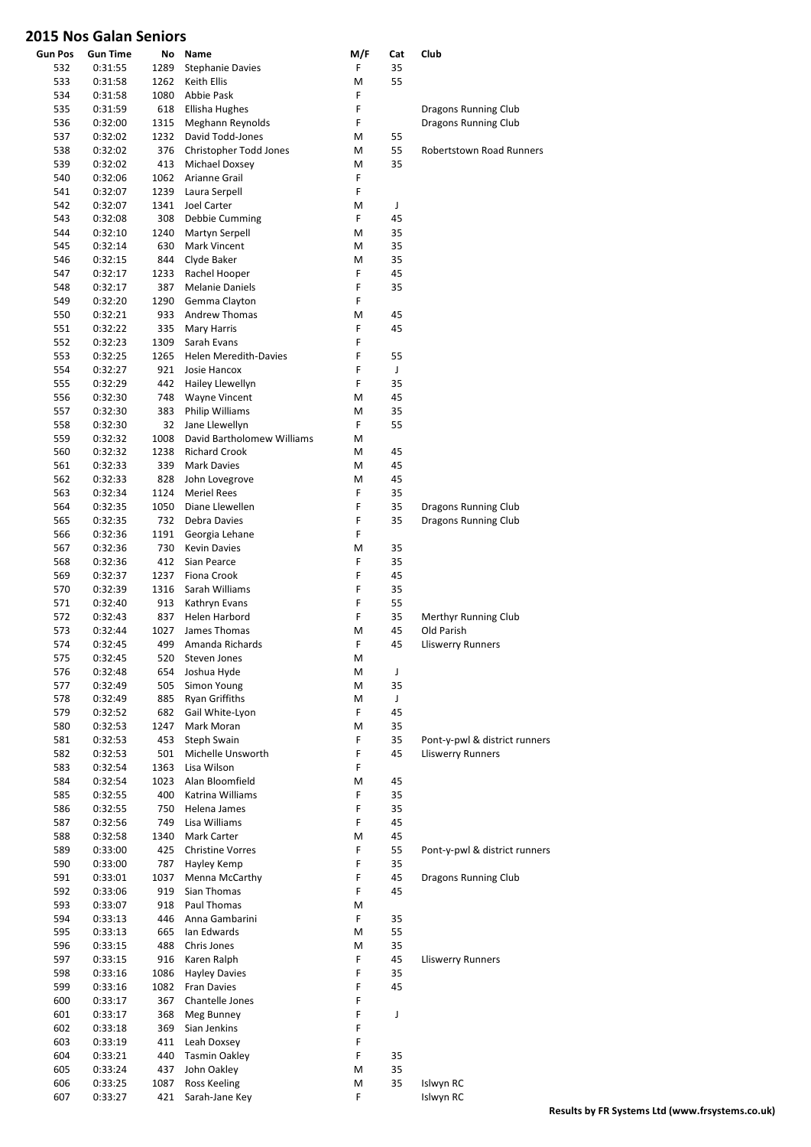| Gun Pos | <b>Gun Time</b> | No   | Name                         | M/F | Cat | Club                            |
|---------|-----------------|------|------------------------------|-----|-----|---------------------------------|
| 532     | 0:31:55         | 1289 | <b>Stephanie Davies</b>      | F   | 35  |                                 |
| 533     | 0:31:58         | 1262 | Keith Ellis                  | M   | 55  |                                 |
| 534     | 0:31:58         | 1080 | Abbie Pask                   | F   |     |                                 |
| 535     | 0:31:59         | 618  | Ellisha Hughes               | F   |     | Dragons Running Club            |
| 536     | 0:32:00         | 1315 | Meghann Reynolds             | F   |     | Dragons Running Club            |
| 537     | 0:32:02         | 1232 | David Todd-Jones             | М   | 55  |                                 |
| 538     | 0:32:02         | 376  | Christopher Todd Jones       | М   | 55  | <b>Robertstown Road Runners</b> |
| 539     | 0:32:02         | 413  | Michael Doxsey               | М   | 35  |                                 |
| 540     | 0:32:06         | 1062 | Arianne Grail                | F   |     |                                 |
| 541     | 0:32:07         | 1239 | Laura Serpell                | F   |     |                                 |
| 542     | 0:32:07         | 1341 | Joel Carter                  | M   | J   |                                 |
| 543     | 0:32:08         | 308  | Debbie Cumming               | F   | 45  |                                 |
| 544     | 0:32:10         | 1240 | Martyn Serpell               | M   | 35  |                                 |
| 545     | 0:32:14         | 630  | Mark Vincent                 | M   | 35  |                                 |
| 546     | 0:32:15         | 844  | Clyde Baker                  | М   | 35  |                                 |
| 547     | 0:32:17         | 1233 | Rachel Hooper                | F   | 45  |                                 |
| 548     | 0:32:17         | 387  |                              | F   | 35  |                                 |
| 549     |                 |      | Melanie Daniels              | F   |     |                                 |
|         | 0:32:20         | 1290 | Gemma Clayton                |     |     |                                 |
| 550     | 0:32:21         | 933  | <b>Andrew Thomas</b>         | M   | 45  |                                 |
| 551     | 0:32:22         | 335  | Mary Harris                  | F   | 45  |                                 |
| 552     | 0:32:23         | 1309 | Sarah Evans                  | F   |     |                                 |
| 553     | 0:32:25         | 1265 | <b>Helen Meredith-Davies</b> | F   | 55  |                                 |
| 554     | 0:32:27         | 921  | Josie Hancox                 | F   | J   |                                 |
| 555     | 0:32:29         | 442  | Hailey Llewellyn             | F   | 35  |                                 |
| 556     | 0:32:30         | 748  | <b>Wayne Vincent</b>         | М   | 45  |                                 |
| 557     | 0:32:30         | 383  | <b>Philip Williams</b>       | M   | 35  |                                 |
| 558     | 0:32:30         | 32   | Jane Llewellyn               | F   | 55  |                                 |
| 559     | 0:32:32         | 1008 | David Bartholomew Williams   | М   |     |                                 |
| 560     | 0:32:32         | 1238 | <b>Richard Crook</b>         | М   | 45  |                                 |
| 561     | 0:32:33         | 339  | <b>Mark Davies</b>           | M   | 45  |                                 |
| 562     | 0:32:33         | 828  | John Lovegrove               | М   | 45  |                                 |
| 563     | 0:32:34         | 1124 | <b>Meriel Rees</b>           | F   | 35  |                                 |
| 564     | 0:32:35         | 1050 | Diane Llewellen              | F   | 35  | Dragons Running Club            |
| 565     | 0:32:35         | 732  | Debra Davies                 | F   | 35  | Dragons Running Club            |
| 566     | 0:32:36         | 1191 |                              | F   |     |                                 |
|         |                 |      | Georgia Lehane               |     |     |                                 |
| 567     | 0:32:36         | 730  | <b>Kevin Davies</b>          | M   | 35  |                                 |
| 568     | 0:32:36         | 412  | Sian Pearce                  | F   | 35  |                                 |
| 569     | 0:32:37         | 1237 | Fiona Crook                  | F   | 45  |                                 |
| 570     | 0:32:39         | 1316 | Sarah Williams               | F   | 35  |                                 |
| 571     | 0:32:40         | 913  | Kathryn Evans                | F   | 55  |                                 |
| 572     | 0:32:43         | 837  | Helen Harbord                | F   | 35  | Merthyr Running Club            |
| 573     | 0:32:44         | 1027 | James Thomas                 | М   | 45  | Old Parish                      |
| 574     | 0:32:45         | 499  | Amanda Richards              | F   | 45  | <b>Lliswerry Runners</b>        |
| 575     | 0:32:45         | 520  | Steven Jones                 | M   |     |                                 |
| 576     | 0:32:48         | 654  | Joshua Hyde                  | M   | J   |                                 |
| 577     | 0:32:49         | 505  | Simon Young                  | M   | 35  |                                 |
| 578     | 0:32:49         | 885  | <b>Ryan Griffiths</b>        | M   | J   |                                 |
| 579     | 0:32:52         | 682  | Gail White-Lyon              | F   | 45  |                                 |
| 580     | 0:32:53         | 1247 | Mark Moran                   | M   | 35  |                                 |
| 581     | 0:32:53         | 453  | Steph Swain                  | F   | 35  | Pont-y-pwl & district runners   |
| 582     | 0:32:53         | 501  | Michelle Unsworth            | F   | 45  | <b>Lliswerry Runners</b>        |
| 583     | 0:32:54         | 1363 | Lisa Wilson                  | F   |     |                                 |
| 584     | 0:32:54         | 1023 | Alan Bloomfield              | M   | 45  |                                 |
| 585     | 0:32:55         | 400  | Katrina Williams             | F   | 35  |                                 |
| 586     | 0:32:55         | 750  | Helena James                 | F   | 35  |                                 |
| 587     | 0:32:56         | 749  | Lisa Williams                | F   | 45  |                                 |
| 588     | 0:32:58         | 1340 | Mark Carter                  | M   | 45  |                                 |
| 589     |                 |      |                              | F   |     |                                 |
|         | 0:33:00         | 425  | <b>Christine Vorres</b>      |     | 55  | Pont-y-pwl & district runners   |
| 590     | 0:33:00         | 787  | Hayley Kemp                  | F   | 35  |                                 |
| 591     | 0:33:01         | 1037 | Menna McCarthy               | F   | 45  | Dragons Running Club            |
| 592     | 0:33:06         | 919  | Sian Thomas                  | F   | 45  |                                 |
| 593     | 0:33:07         | 918  | Paul Thomas                  | М   |     |                                 |
| 594     | 0:33:13         | 446  | Anna Gambarini               | F   | 35  |                                 |
| 595     | 0:33:13         | 665  | Ian Edwards                  | M   | 55  |                                 |
| 596     | 0:33:15         | 488  | Chris Jones                  | M   | 35  |                                 |
| 597     | 0:33:15         | 916  | Karen Ralph                  | F   | 45  | Lliswerry Runners               |
| 598     | 0:33:16         | 1086 | <b>Hayley Davies</b>         | F   | 35  |                                 |
| 599     | 0:33:16         | 1082 | Fran Davies                  | F   | 45  |                                 |
| 600     | 0:33:17         | 367  | Chantelle Jones              | F   |     |                                 |
| 601     | 0:33:17         | 368  | Meg Bunney                   | F   | J   |                                 |
| 602     | 0:33:18         | 369  | Sian Jenkins                 | F   |     |                                 |
| 603     | 0:33:19         | 411  | Leah Doxsey                  | F   |     |                                 |
| 604     | 0:33:21         | 440  | <b>Tasmin Oakley</b>         | F   | 35  |                                 |
| 605     | 0:33:24         | 437  | John Oakley                  | M   | 35  |                                 |
| 606     | 0:33:25         | 1087 | <b>Ross Keeling</b>          | M   | 35  | Islwyn RC                       |
| 607     | 0:33:27         | 421  | Sarah-Jane Key               | F   |     | Islwyn RC                       |
|         |                 |      |                              |     |     |                                 |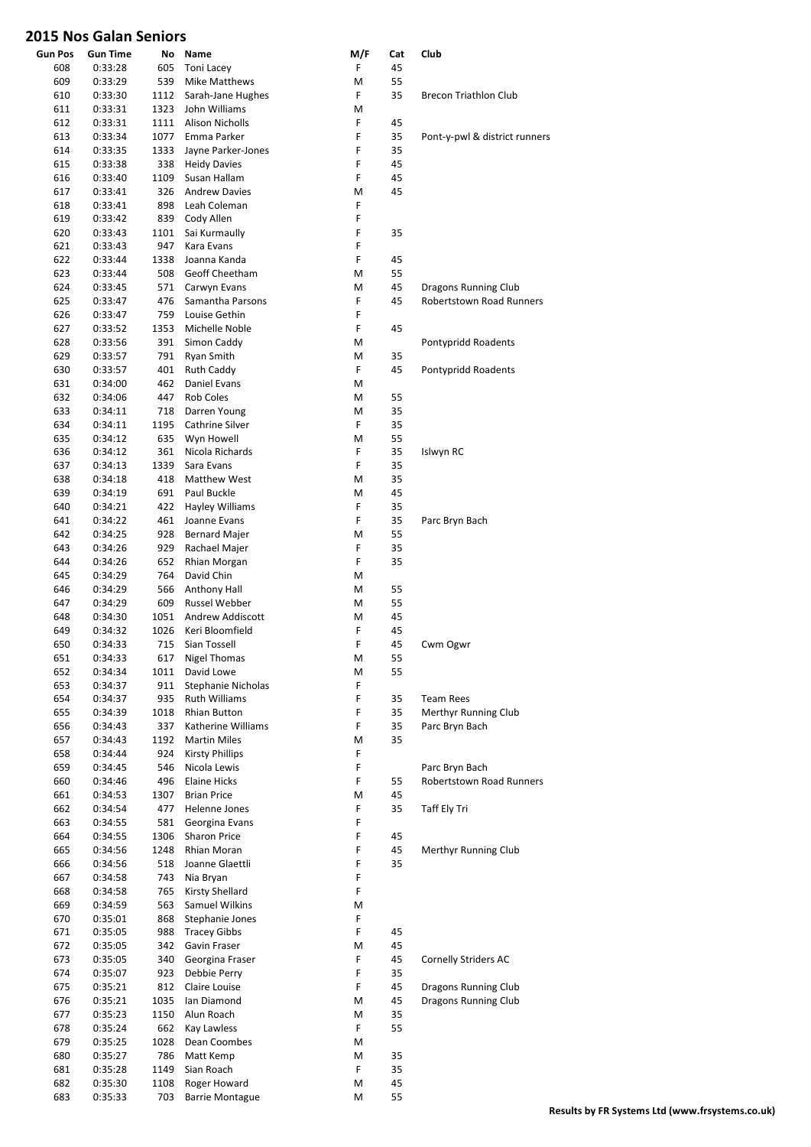| <b>Gun Pos</b> | <b>Gun Time</b>    | No          | Name                                          | M/F    | Cat | Club                            |
|----------------|--------------------|-------------|-----------------------------------------------|--------|-----|---------------------------------|
| 608            | 0:33:28            | 605         | <b>Toni Lacey</b>                             | F      | 45  |                                 |
| 609            | 0:33:29            | 539         | <b>Mike Matthews</b>                          | M      | 55  |                                 |
| 610            | 0:33:30            | 1112        | Sarah-Jane Hughes                             | F      | 35  | <b>Brecon Triathlon Club</b>    |
| 611            | 0:33:31            | 1323        | John Williams                                 | Μ      |     |                                 |
| 612            | 0:33:31            | 1111        | <b>Alison Nicholls</b>                        | F      | 45  |                                 |
| 613            | 0:33:34            | 1077        | Emma Parker                                   | F      | 35  | Pont-y-pwl & district runners   |
| 614            | 0:33:35            | 1333        | Jayne Parker-Jones                            | F      | 35  |                                 |
| 615            | 0:33:38            | 338         | <b>Heidy Davies</b>                           | F      | 45  |                                 |
| 616            | 0:33:40            | 1109        | Susan Hallam                                  | F      | 45  |                                 |
| 617            | 0:33:41            | 326         | <b>Andrew Davies</b>                          | M<br>F | 45  |                                 |
| 618<br>619     | 0:33:41<br>0:33:42 | 898<br>839  | Leah Coleman                                  | F      |     |                                 |
| 620            | 0:33:43            | 1101        | Cody Allen<br>Sai Kurmaully                   | F      | 35  |                                 |
| 621            | 0:33:43            | 947         | Kara Evans                                    | F      |     |                                 |
| 622            | 0:33:44            | 1338        | Joanna Kanda                                  | F      | 45  |                                 |
| 623            | 0:33:44            | 508         | Geoff Cheetham                                | M      | 55  |                                 |
| 624            | 0:33:45            | 571         | Carwyn Evans                                  | M      | 45  | Dragons Running Club            |
| 625            | 0:33:47            | 476         | Samantha Parsons                              | F      | 45  | <b>Robertstown Road Runners</b> |
| 626            | 0:33:47            | 759         | Louise Gethin                                 | F      |     |                                 |
| 627            | 0:33:52            | 1353        | Michelle Noble                                | F      | 45  |                                 |
| 628            | 0:33:56            | 391         | Simon Caddy                                   | Μ      |     | Pontypridd Roadents             |
| 629            | 0:33:57            | 791         | Ryan Smith                                    | M      | 35  |                                 |
| 630            | 0:33:57            | 401         | Ruth Caddy                                    | F      | 45  | Pontypridd Roadents             |
| 631            | 0:34:00            | 462         | Daniel Evans                                  | M      |     |                                 |
| 632            | 0:34:06            | 447         | <b>Rob Coles</b>                              | M      | 55  |                                 |
| 633            | 0:34:11            | 718         | Darren Young                                  | M      | 35  |                                 |
| 634            | 0:34:11            | 1195        | Cathrine Silver                               | F      | 35  |                                 |
| 635            | 0:34:12            | 635         | Wyn Howell                                    | M      | 55  |                                 |
| 636            | 0:34:12            | 361         | Nicola Richards                               | F      | 35  | Islwyn RC                       |
| 637            | 0:34:13            | 1339        | Sara Evans                                    | F      | 35  |                                 |
| 638            | 0:34:18            | 418         | Matthew West                                  | M      | 35  |                                 |
| 639            | 0:34:19            | 691         | Paul Buckle                                   | M      | 45  |                                 |
| 640            | 0:34:21            | 422         | Hayley Williams                               | F      | 35  |                                 |
| 641            | 0:34:22            | 461         | Joanne Evans                                  | F      | 35  | Parc Bryn Bach                  |
| 642            | 0:34:25            | 928         | <b>Bernard Majer</b>                          | M      | 55  |                                 |
| 643            | 0:34:26            | 929         | Rachael Majer                                 | F      | 35  |                                 |
| 644            | 0:34:26            | 652         | Rhian Morgan                                  | F      | 35  |                                 |
| 645            | 0:34:29            | 764         | David Chin                                    | M      |     |                                 |
| 646            | 0:34:29            | 566         | Anthony Hall                                  | M      | 55  |                                 |
| 647            | 0:34:29            | 609         | Russel Webber                                 | Μ      | 55  |                                 |
| 648            | 0:34:30            | 1051        | <b>Andrew Addiscott</b>                       | Μ      | 45  |                                 |
| 649            | 0:34:32            | 1026        | Keri Bloomfield                               | F      | 45  |                                 |
| 650            | 0:34:33            | 715         | Sian Tossell                                  | F      | 45  | Cwm Ogwr                        |
| 651            | 0:34:33            | 617         | Nigel Thomas                                  | M      | 55  |                                 |
| 652            | 0:34:34            | 1011        | David Lowe                                    | M      | 55  |                                 |
| 653            | 0:34:37            | 911         | Stephanie Nicholas                            | F      |     |                                 |
| 654            | 0:34:37            | 935         | Ruth Williams                                 | F      | 35  | <b>Team Rees</b>                |
| 655            | 0:34:39            | 1018        | Rhian Button                                  | F<br>F | 35  | Merthyr Running Club            |
| 656            | 0:34:43<br>0:34:43 | 337         | Katherine Williams                            |        | 35  | Parc Bryn Bach                  |
| 657<br>658     | 0:34:44            | 1192<br>924 | <b>Martin Miles</b><br><b>Kirsty Phillips</b> | M<br>F | 35  |                                 |
| 659            | 0:34:45            | 546         | Nicola Lewis                                  | F      |     | Parc Bryn Bach                  |
| 660            | 0:34:46            | 496         | <b>Elaine Hicks</b>                           | F      | 55  | <b>Robertstown Road Runners</b> |
| 661            | 0:34:53            | 1307        | <b>Brian Price</b>                            | M      | 45  |                                 |
| 662            | 0:34:54            | 477         | Helenne Jones                                 | F      | 35  | Taff Ely Tri                    |
| 663            | 0:34:55            | 581         | Georgina Evans                                | F      |     |                                 |
| 664            | 0:34:55            | 1306        | <b>Sharon Price</b>                           | F      | 45  |                                 |
| 665            | 0:34:56            | 1248        | Rhian Moran                                   | F      | 45  | Merthyr Running Club            |
| 666            | 0:34:56            | 518         | Joanne Glaettli                               | F      | 35  |                                 |
| 667            | 0:34:58            | 743         | Nia Bryan                                     | F      |     |                                 |
| 668            | 0:34:58            | 765         | Kirsty Shellard                               | F      |     |                                 |
| 669            | 0:34:59            | 563         | Samuel Wilkins                                | М      |     |                                 |
| 670            | 0:35:01            | 868         | Stephanie Jones                               | F      |     |                                 |
| 671            | 0:35:05            | 988         | <b>Tracey Gibbs</b>                           | F      | 45  |                                 |
| 672            | 0:35:05            | 342         | Gavin Fraser                                  | М      | 45  |                                 |
| 673            | 0:35:05            | 340         | Georgina Fraser                               | F      | 45  | <b>Cornelly Striders AC</b>     |
| 674            | 0:35:07            | 923         | Debbie Perry                                  | F      | 35  |                                 |
| 675            | 0:35:21            | 812         | Claire Louise                                 | F      | 45  | Dragons Running Club            |
| 676            | 0:35:21            | 1035        | Ian Diamond                                   | M      | 45  | Dragons Running Club            |
| 677            | 0:35:23            | 1150        | Alun Roach                                    | M      | 35  |                                 |
| 678            | 0:35:24            | 662         | Kay Lawless                                   | F      | 55  |                                 |
| 679            | 0:35:25            | 1028        | Dean Coombes                                  | Μ      |     |                                 |
| 680            | 0:35:27            | 786         | Matt Kemp                                     | M      | 35  |                                 |
| 681            | 0:35:28            | 1149        | Sian Roach                                    | F      | 35  |                                 |
| 682            | 0:35:30            | 1108        | Roger Howard                                  | М      | 45  |                                 |
| 683            | 0:35:33            | 703         | <b>Barrie Montague</b>                        | M      | 55  |                                 |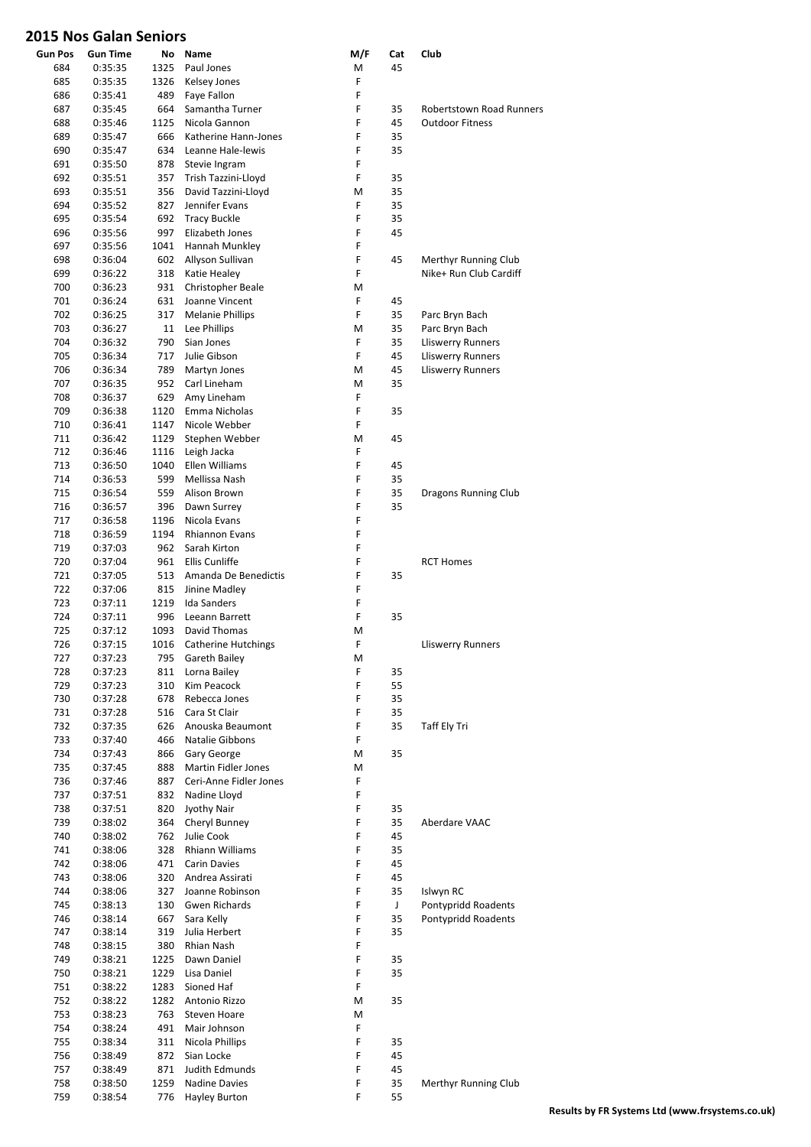| <b>Gun Pos</b> | Gun Time           | No         | Name                        | M/F    | Cat      | Club                     |
|----------------|--------------------|------------|-----------------------------|--------|----------|--------------------------|
| 684            | 0:35:35            | 1325       | Paul Jones                  | М      | 45       |                          |
| 685            | 0:35:35            | 1326       | Kelsey Jones                | F      |          |                          |
| 686            | 0:35:41            | 489        | Faye Fallon                 | F      |          |                          |
| 687            | 0:35:45            | 664        | Samantha Turner             | F      | 35       | Robertstown Road Runners |
| 688            | 0:35:46            | 1125       | Nicola Gannon               | F      | 45       | <b>Outdoor Fitness</b>   |
| 689            | 0:35:47            | 666        | Katherine Hann-Jones        | F      | 35       |                          |
| 690            | 0:35:47            | 634        | Leanne Hale-lewis           | F      | 35       |                          |
| 691            | 0:35:50            | 878        | Stevie Ingram               | F      |          |                          |
| 692            | 0:35:51            | 357        | Trish Tazzini-Lloyd         | F      | 35       |                          |
| 693            | 0:35:51            | 356        | David Tazzini-Lloyd         | M      | 35       |                          |
| 694            | 0:35:52            | 827        | Jennifer Evans              | F      | 35       |                          |
| 695            | 0:35:54            | 692        | <b>Tracy Buckle</b>         | F      | 35       |                          |
| 696            | 0:35:56            | 997        | Elizabeth Jones             | F      | 45       |                          |
| 697            | 0:35:56            | 1041       | Hannah Munkley              | F      |          |                          |
| 698            | 0:36:04            | 602        | Allyson Sullivan            | F      | 45       | Merthyr Running Club     |
| 699            | 0:36:22            | 318        | Katie Healey                | F      |          | Nike+ Run Club Cardiff   |
| 700            | 0:36:23            | 931        | Christopher Beale           | M      |          |                          |
| 701            | 0:36:24            | 631        | Joanne Vincent              | F      | 45       |                          |
| 702            | 0:36:25            | 317        | <b>Melanie Phillips</b>     | F      | 35       | Parc Bryn Bach           |
| 703            | 0:36:27            | 11         | Lee Phillips                | M      | 35       | Parc Bryn Bach           |
| 704            | 0:36:32            | 790        | Sian Jones                  | F      | 35       | <b>Lliswerry Runners</b> |
| 705            | 0:36:34            | 717        | Julie Gibson                | F      | 45       | <b>Lliswerry Runners</b> |
| 706            | 0:36:34            | 789        | Martyn Jones                | M      | 45       | <b>Lliswerry Runners</b> |
| 707            | 0:36:35            | 952        | Carl Lineham                | M      | 35       |                          |
| 708            | 0:36:37            | 629        | Amy Lineham                 | F      |          |                          |
| 709            | 0:36:38            | 1120       | Emma Nicholas               | F      | 35       |                          |
| 710            | 0:36:41            | 1147       | Nicole Webber               | F      |          |                          |
| 711            | 0:36:42            | 1129       | Stephen Webber              | M      | 45       |                          |
| 712            | 0:36:46            | 1116       | Leigh Jacka                 | F      |          |                          |
| 713            | 0:36:50            | 1040       | Ellen Williams              | F      | 45       |                          |
| 714            | 0:36:53            | 599        | Mellissa Nash               | F      | 35       |                          |
| 715            | 0:36:54            | 559        | Alison Brown                | F      | 35       | Dragons Running Club     |
| 716            | 0:36:57            | 396        | Dawn Surrey                 | F      | 35       |                          |
| 717            | 0:36:58            | 1196       | Nicola Evans                | F      |          |                          |
| 718            | 0:36:59            | 1194       | <b>Rhiannon Evans</b>       | F      |          |                          |
| 719            | 0:37:03            | 962        | Sarah Kirton                | F      |          |                          |
| 720            | 0:37:04            | 961        | <b>Ellis Cunliffe</b>       | F      |          | <b>RCT Homes</b>         |
| 721            | 0:37:05            | 513        | Amanda De Benedictis        | F      | 35       |                          |
| 722            | 0:37:06            | 815        | Jinine Madley               | F      |          |                          |
| 723            | 0:37:11            | 1219       | <b>Ida Sanders</b>          | F      |          |                          |
| 724            | 0:37:11            | 996        | Leeann Barrett              | F      | 35       |                          |
| 725            | 0:37:12            | 1093       | David Thomas                | M      |          |                          |
| 726            | 0:37:15            | 1016       | <b>Catherine Hutchings</b>  | F      |          | <b>Lliswerry Runners</b> |
| 727            | 0:37:23            | 795        | Gareth Bailey               | M      |          |                          |
| 728            | 0:37:23            | 811        | Lorna Bailey<br>Kim Peacock | F      | 35       |                          |
| 729<br>730     | 0:37:23            | 310<br>678 | Rebecca Jones               | F<br>F | 55<br>35 |                          |
| 731            | 0:37:28<br>0:37:28 | 516        | Cara St Clair               | F      | 35       |                          |
|                |                    | 626        | Anouska Beaumont            | F      | 35       |                          |
| 732<br>733     | 0:37:35            | 466        | Natalie Gibbons             | F      |          | Taff Ely Tri             |
| 734            | 0:37:40<br>0:37:43 | 866        | Gary George                 | М      | 35       |                          |
| 735            | 0:37:45            | 888        | <b>Martin Fidler Jones</b>  | M      |          |                          |
| 736            | 0:37:46            | 887        | Ceri-Anne Fidler Jones      | F      |          |                          |
| 737            | 0:37:51            | 832        | Nadine Lloyd                | F      |          |                          |
| 738            | 0:37:51            | 820        | Jyothy Nair                 | F      | 35       |                          |
| 739            | 0:38:02            | 364        | Cheryl Bunney               | F      | 35       | Aberdare VAAC            |
| 740            | 0:38:02            | 762        | Julie Cook                  | F      | 45       |                          |
| 741            | 0:38:06            | 328        | Rhiann Williams             | F      | 35       |                          |
| 742            | 0:38:06            | 471        | <b>Carin Davies</b>         | F      | 45       |                          |
| 743            | 0:38:06            | 320        | Andrea Assirati             | F      | 45       |                          |
| 744            | 0:38:06            | 327        | Joanne Robinson             | F      | 35       | Islwyn RC                |
| 745            | 0:38:13            | 130        | Gwen Richards               | F      | J        | Pontypridd Roadents      |
| 746            | 0:38:14            | 667        | Sara Kelly                  | F      | 35       | Pontypridd Roadents      |
| 747            | 0:38:14            | 319        | Julia Herbert               | F      | 35       |                          |
| 748            | 0:38:15            | 380        | Rhian Nash                  | F      |          |                          |
| 749            | 0:38:21            | 1225       | Dawn Daniel                 | F      | 35       |                          |
| 750            | 0:38:21            | 1229       | Lisa Daniel                 | F      | 35       |                          |
| 751            | 0:38:22            | 1283       | Sioned Haf                  | F      |          |                          |
| 752            | 0:38:22            | 1282       | Antonio Rizzo               | M      | 35       |                          |
| 753            | 0:38:23            | 763        | <b>Steven Hoare</b>         | Μ      |          |                          |
| 754            | 0:38:24            | 491        | Mair Johnson                | F      |          |                          |
| 755            | 0:38:34            | 311        | Nicola Phillips             | F      | 35       |                          |
| 756            | 0:38:49            | 872        | Sian Locke                  | F      | 45       |                          |
| 757            | 0:38:49            | 871        | Judith Edmunds              | F      | 45       |                          |
| 758            | 0:38:50            | 1259       | Nadine Davies               | F      | 35       | Merthyr Running Club     |
| 759            | 0:38:54            | 776        | Hayley Burton               | F      | 55       |                          |

**Results by FR Systems Ltd (www.frsystems.co.uk)**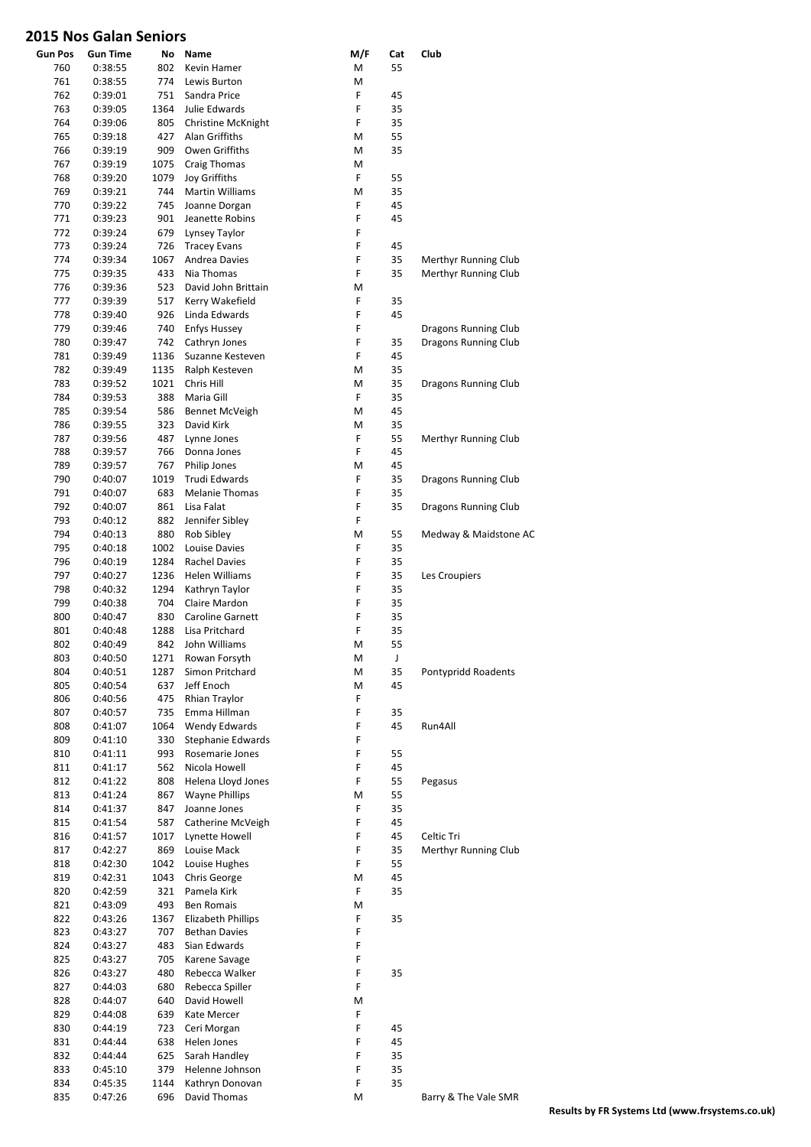| <b>Gun Pos</b> | <b>Gun Time</b>    | No           | Name                            | M/F    | Cat      | Club                  |
|----------------|--------------------|--------------|---------------------------------|--------|----------|-----------------------|
| 760            | 0:38:55            | 802          | Kevin Hamer                     | М      | 55       |                       |
| 761            | 0:38:55            | 774          | Lewis Burton                    | M      |          |                       |
| 762            | 0:39:01            | 751          | Sandra Price                    | F      | 45       |                       |
| 763            | 0:39:05            | 1364         | Julie Edwards                   | F      | 35       |                       |
| 764            | 0:39:06            | 805          | Christine McKnight              | F      | 35       |                       |
| 765            | 0:39:18            | 427          | Alan Griffiths                  | М      | 55       |                       |
| 766            | 0:39:19            | 909          | Owen Griffiths                  | M      | 35       |                       |
| 767            | 0:39:19            | 1075         | Craig Thomas                    | M      |          |                       |
| 768            | 0:39:20            | 1079         | Joy Griffiths                   | F      | 55       |                       |
| 769            | 0:39:21            | 744          | Martin Williams                 | M      | 35       |                       |
| 770            | 0:39:22            | 745          | Joanne Dorgan                   | F      | 45       |                       |
| 771            | 0:39:23            | 901          | Jeanette Robins                 | F      | 45       |                       |
| 772            | 0:39:24            | 679          | Lynsey Taylor                   | F      |          |                       |
| 773            | 0:39:24            | 726          | <b>Tracey Evans</b>             | F      | 45       |                       |
| 774            | 0:39:34            | 1067         | <b>Andrea Davies</b>            | F      | 35       | Merthyr Running Club  |
| 775            | 0:39:35            | 433          | Nia Thomas                      | F      | 35       | Merthyr Running Club  |
| 776            | 0:39:36            | 523          | David John Brittain             | М      |          |                       |
| 777            | 0:39:39            | 517          | Kerry Wakefield                 | F      | 35       |                       |
| 778            | 0:39:40            | 926          | Linda Edwards                   | F      | 45       |                       |
| 779            | 0:39:46            | 740          | <b>Enfys Hussey</b>             | F      |          | Dragons Running Club  |
| 780            | 0:39:47            | 742          | Cathryn Jones                   | F      | 35       | Dragons Running Club  |
| 781            | 0:39:49            | 1136         | Suzanne Kesteven                | F      | 45       |                       |
| 782            | 0:39:49            | 1135         | Ralph Kesteven                  | M      | 35       |                       |
| 783            | 0:39:52            | 1021         | Chris Hill                      | M      | 35       | Dragons Running Club  |
| 784            | 0:39:53            | 388          | Maria Gill                      | F      | 35       |                       |
| 785            | 0:39:54            | 586          | <b>Bennet McVeigh</b>           | М      | 45       |                       |
| 786            | 0:39:55            | 323          | David Kirk                      | M      | 35       |                       |
| 787            | 0:39:56            | 487          | Lynne Jones                     | F      | 55       | Merthyr Running Club  |
| 788            | 0:39:57            | 766          | Donna Jones                     | F      | 45       |                       |
| 789            | 0:39:57            | 767          | <b>Philip Jones</b>             | M      | 45       |                       |
| 790            | 0:40:07            | 1019         | Trudi Edwards                   | F      | 35       | Dragons Running Club  |
| 791            | 0:40:07            | 683          | <b>Melanie Thomas</b>           | F      | 35       |                       |
| 792            | 0:40:07            | 861          | Lisa Falat                      | F      | 35       | Dragons Running Club  |
| 793            | 0:40:12            | 882          | Jennifer Sibley                 | F      |          |                       |
| 794            | 0:40:13            | 880          | Rob Sibley                      | M<br>F | 55       | Medway & Maidstone AC |
| 795<br>796     | 0:40:18            | 1002<br>1284 | Louise Davies                   | F      | 35<br>35 |                       |
| 797            | 0:40:19            | 1236         | Rachel Davies<br>Helen Williams | F      | 35       |                       |
| 798            | 0:40:27<br>0:40:32 | 1294         | Kathryn Taylor                  | F      | 35       | Les Croupiers         |
| 799            | 0:40:38            | 704          | Claire Mardon                   | F      | 35       |                       |
| 800            | 0:40:47            | 830          | Caroline Garnett                | F      | 35       |                       |
| 801            | 0:40:48            | 1288         | Lisa Pritchard                  | F      | 35       |                       |
| 802            | 0:40:49            | 842          | John Williams                   | M      | 55       |                       |
| 803            | 0:40:50            | 1271         | Rowan Forsyth                   | М      | J        |                       |
| 804            | 0:40:51            | 1287         | Simon Pritchard                 | M      | 35       | Pontypridd Roadents   |
| 805            | 0:40:54            | 637          | Jeff Enoch                      | M      | 45       |                       |
| 806            | 0:40:56            | 475          | Rhian Traylor                   | F      |          |                       |
| 807            | 0:40:57            | 735          | Emma Hillman                    | F      | 35       |                       |
| 808            | 0:41:07            | 1064         | Wendy Edwards                   | F      | 45       | Run4All               |
| 809            | 0:41:10            | 330          | Stephanie Edwards               | F      |          |                       |
| 810            | 0:41:11            | 993          | Rosemarie Jones                 | F      | 55       |                       |
| 811            | 0:41:17            | 562          | Nicola Howell                   | F      | 45       |                       |
| 812            | 0:41:22            | 808          | Helena Lloyd Jones              | F      | 55       | Pegasus               |
| 813            | 0:41:24            | 867          | <b>Wayne Phillips</b>           | M      | 55       |                       |
| 814            | 0:41:37            | 847          | Joanne Jones                    | F      | 35       |                       |
| 815            | 0:41:54            | 587          | Catherine McVeigh               | F      | 45       |                       |
| 816            | 0:41:57            | 1017         | Lynette Howell                  | F      | 45       | Celtic Tri            |
| 817            | 0:42:27            | 869          | Louise Mack                     | F      | 35       | Merthyr Running Club  |
| 818            | 0:42:30            | 1042         | Louise Hughes                   | F      | 55       |                       |
| 819            | 0:42:31            | 1043         | Chris George                    | M      | 45       |                       |
| 820            | 0:42:59            | 321          | Pamela Kirk                     | F      | 35       |                       |
| 821            | 0:43:09            | 493          | <b>Ben Romais</b>               | М      |          |                       |
| 822            | 0:43:26            | 1367         | <b>Elizabeth Phillips</b>       | F      | 35       |                       |
| 823            | 0:43:27            | 707          | <b>Bethan Davies</b>            | F      |          |                       |
| 824            | 0:43:27            | 483          | Sian Edwards                    | F      |          |                       |
| 825            | 0:43:27            | 705          | Karene Savage                   | F      |          |                       |
| 826            | 0:43:27            | 480          | Rebecca Walker                  | F      | 35       |                       |
| 827            | 0:44:03            | 680          | Rebecca Spiller                 | F      |          |                       |
| 828            | 0:44:07            | 640          | David Howell                    | M      |          |                       |
| 829            | 0:44:08            | 639          | Kate Mercer                     | F      |          |                       |
| 830            | 0:44:19            | 723          | Ceri Morgan                     | F      | 45       |                       |
| 831            | 0:44:44            | 638          | Helen Jones                     | F      | 45       |                       |
| 832            | 0:44:44            | 625          | Sarah Handley                   | F      | 35       |                       |
| 833            | 0:45:10            | 379          | Helenne Johnson                 | F      | 35       |                       |
| 834            | 0:45:35            | 1144         | Kathryn Donovan                 | F      | 35       |                       |
| 835            | 0:47:26            | 696          | David Thomas                    | M      |          | Barry & The Vale SMR  |